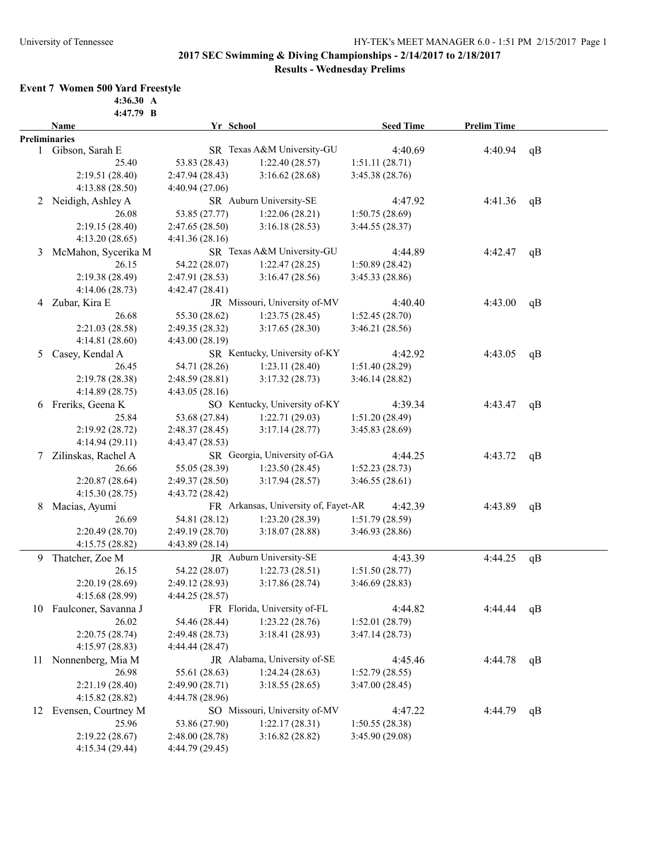# **2017 SEC Swimming & Diving Championships - 2/14/2017 to 2/18/2017**

# **Results - Wednesday Prelims**

### **Event 7 Women 500 Yard Freestyle**

**4:36.30 A 4:47.79 B**

|   | Name                    | Yr School       |                                      | <b>Seed Time</b> | <b>Prelim Time</b> |    |
|---|-------------------------|-----------------|--------------------------------------|------------------|--------------------|----|
|   | <b>Preliminaries</b>    |                 |                                      |                  |                    |    |
| 1 | Gibson, Sarah E         |                 | SR Texas A&M University-GU           | 4:40.69          | 4:40.94            | qB |
|   | 25.40                   | 53.83 (28.43)   | 1:22.40(28.57)                       | 1:51.11(28.71)   |                    |    |
|   | 2:19.51 (28.40)         | 2:47.94(28.43)  | 3:16.62(28.68)                       | 3:45.38(28.76)   |                    |    |
|   | 4:13.88 (28.50)         | 4:40.94 (27.06) |                                      |                  |                    |    |
|   | 2 Neidigh, Ashley A     |                 | SR Auburn University-SE              | 4:47.92          | 4:41.36            | qB |
|   | 26.08                   | 53.85 (27.77)   | 1:22.06(28.21)                       | 1:50.75(28.69)   |                    |    |
|   | 2:19.15(28.40)          | 2:47.65(28.50)  | 3:16.18(28.53)                       | 3:44.55(28.37)   |                    |    |
|   | 4:13.20 (28.65)         | 4:41.36(28.16)  |                                      |                  |                    |    |
| 3 | McMahon, Sycerika M     |                 | SR Texas A&M University-GU           | 4:44.89          | 4:42.47            | qB |
|   | 26.15                   | 54.22 (28.07)   | 1:22.47(28.25)                       | 1:50.89(28.42)   |                    |    |
|   | 2:19.38 (28.49)         | 2:47.91(28.53)  | 3:16.47(28.56)                       | 3:45.33(28.86)   |                    |    |
|   | 4:14.06 (28.73)         | 4:42.47 (28.41) |                                      |                  |                    |    |
|   | 4 Zubar, Kira E         |                 | JR Missouri, University of-MV        | 4:40.40          | 4:43.00            | qB |
|   | 26.68                   | 55.30 (28.62)   | 1:23.75(28.45)                       | 1:52.45(28.70)   |                    |    |
|   | 2:21.03 (28.58)         | 2:49.35(28.32)  | 3:17.65(28.30)                       | 3:46.21(28.56)   |                    |    |
|   | 4:14.81(28.60)          | 4:43.00(28.19)  |                                      |                  |                    |    |
| 5 | Casey, Kendal A         |                 | SR Kentucky, University of-KY        | 4:42.92          | 4:43.05            | qB |
|   | 26.45                   | 54.71 (28.26)   | 1:23.11(28.40)                       | 1:51.40 (28.29)  |                    |    |
|   | 2:19.78 (28.38)         |                 | 3:17.32(28.73)                       | 3:46.14(28.82)   |                    |    |
|   | 4:14.89(28.75)          | 2:48.59(28.81)  |                                      |                  |                    |    |
|   |                         | 4:43.05(28.16)  | SO Kentucky, University of-KY        |                  |                    |    |
|   | 6 Freriks, Geena K      |                 |                                      | 4:39.34          | 4:43.47            | qB |
|   | 25.84                   | 53.68 (27.84)   | 1:22.71(29.03)                       | 1:51.20(28.49)   |                    |    |
|   | 2:19.92 (28.72)         | 2:48.37 (28.45) | 3:17.14(28.77)                       | 3:45.83(28.69)   |                    |    |
|   | 4:14.94 (29.11)         | 4:43.47(28.53)  |                                      |                  |                    |    |
| 7 | Zilinskas, Rachel A     |                 | SR Georgia, University of-GA         | 4:44.25          | 4:43.72            | qB |
|   | 26.66                   | 55.05 (28.39)   | 1:23.50(28.45)                       | 1:52.23(28.73)   |                    |    |
|   | 2:20.87(28.64)          | 2:49.37 (28.50) | 3:17.94(28.57)                       | 3:46.55(28.61)   |                    |    |
|   | 4:15.30(28.75)          | 4:43.72 (28.42) |                                      |                  |                    |    |
| 8 | Macias, Ayumi           |                 | FR Arkansas, University of, Fayet-AR | 4:42.39          | 4:43.89            | qB |
|   | 26.69                   | 54.81 (28.12)   | 1:23.20 (28.39)                      | 1:51.79(28.59)   |                    |    |
|   | 2:20.49 (28.70)         | 2:49.19(28.70)  | 3:18.07(28.88)                       | 3:46.93 (28.86)  |                    |    |
|   | 4:15.75 (28.82)         | 4:43.89(28.14)  |                                      |                  |                    |    |
|   | 9 Thatcher, Zoe M       |                 | JR Auburn University-SE              | 4:43.39          | 4:44.25            | qB |
|   | 26.15                   | 54.22 (28.07)   | 1:22.73(28.51)                       | 1:51.50(28.77)   |                    |    |
|   | 2:20.19(28.69)          | 2:49.12(28.93)  | 3:17.86(28.74)                       | 3:46.69(28.83)   |                    |    |
|   | 4:15.68(28.99)          | 4:44.25(28.57)  |                                      |                  |                    |    |
|   | 10 Faulconer, Savanna J |                 | FR Florida, University of-FL         | 4:44.82          | 4:44.44            | qB |
|   | 26.02                   | 54.46 (28.44)   | 1:23.22(28.76)                       | 1:52.01(28.79)   |                    |    |
|   | 2:20.75(28.74)          | 2:49.48(28.73)  | 3:18.41(28.93)                       | 3:47.14(28.73)   |                    |    |
|   | 4:15.97(28.83)          | 4:44.44 (28.47) |                                      |                  |                    |    |
|   | 11 Nonnenberg, Mia M    |                 | JR Alabama, University of-SE         | 4:45.46          | 4:44.78            | qB |
|   | 26.98                   | 55.61 (28.63)   | 1:24.24(28.63)                       | 1:52.79(28.55)   |                    |    |
|   | 2:21.19 (28.40)         | 2:49.90 (28.71) | 3:18.55(28.65)                       | 3:47.00(28.45)   |                    |    |
|   | 4:15.82 (28.82)         | 4:44.78 (28.96) |                                      |                  |                    |    |
|   | 12 Evensen, Courtney M  |                 | SO Missouri, University of-MV        | 4:47.22          | 4:44.79            | qB |
|   | 25.96                   | 53.86 (27.90)   | 1:22.17(28.31)                       | 1:50.55(28.38)   |                    |    |
|   | 2:19.22 (28.67)         | 2:48.00 (28.78) | 3:16.82(28.82)                       | 3:45.90 (29.08)  |                    |    |
|   | 4:15.34 (29.44)         | 4:44.79 (29.45) |                                      |                  |                    |    |
|   |                         |                 |                                      |                  |                    |    |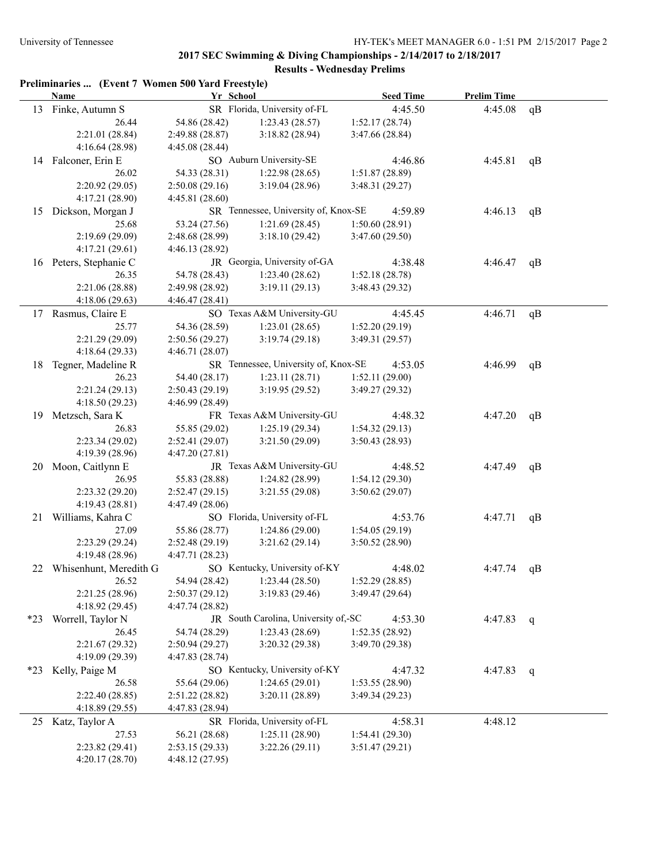|       | Preliminaries  (Event 7 Women 500 Yard Freestyle)<br>Name | Yr School       |                                      | <b>Seed Time</b> | <b>Prelim Time</b> |    |
|-------|-----------------------------------------------------------|-----------------|--------------------------------------|------------------|--------------------|----|
|       | 13 Finke, Autumn S                                        |                 | SR Florida, University of-FL         | 4:45.50          | 4:45.08            | qB |
|       | 26.44                                                     | 54.86 (28.42)   | 1:23.43(28.57)                       | 1:52.17 (28.74)  |                    |    |
|       | 2:21.01 (28.84)                                           | 2:49.88 (28.87) | 3:18.82(28.94)                       | 3:47.66 (28.84)  |                    |    |
|       | 4:16.64 (28.98)                                           | 4:45.08(28.44)  |                                      |                  |                    |    |
|       | 14 Falconer, Erin E                                       |                 | SO Auburn University-SE              | 4:46.86          | 4:45.81            | qB |
|       | 26.02                                                     | 54.33 (28.31)   | 1:22.98(28.65)                       | 1:51.87(28.89)   |                    |    |
|       | 2:20.92 (29.05)                                           | 2:50.08(29.16)  | 3:19.04(28.96)                       | 3:48.31 (29.27)  |                    |    |
|       | 4:17.21 (28.90)                                           | 4:45.81(28.60)  |                                      |                  |                    |    |
| 15    | Dickson, Morgan J                                         |                 | SR Tennessee, University of, Knox-SE | 4:59.89          | 4:46.13            |    |
|       | 25.68                                                     | 53.24 (27.56)   | 1:21.69(28.45)                       | 1:50.60(28.91)   |                    | qB |
|       | 2:19.69 (29.09)                                           |                 |                                      |                  |                    |    |
|       |                                                           | 2:48.68 (28.99) | 3:18.10(29.42)                       | 3:47.60(29.50)   |                    |    |
|       | 4:17.21(29.61)                                            | 4:46.13(28.92)  |                                      |                  |                    |    |
|       | 16 Peters, Stephanie C                                    |                 | JR Georgia, University of-GA         | 4:38.48          | 4:46.47            | qB |
|       | 26.35                                                     | 54.78 (28.43)   | 1:23.40(28.62)                       | 1:52.18(28.78)   |                    |    |
|       | 2:21.06 (28.88)                                           | 2:49.98 (28.92) | 3:19.11(29.13)                       | 3:48.43(29.32)   |                    |    |
|       | 4:18.06(29.63)                                            | 4:46.47(28.41)  |                                      |                  |                    |    |
|       | 17 Rasmus, Claire E                                       |                 | SO Texas A&M University-GU           | 4:45.45          | 4:46.71            | qB |
|       | 25.77                                                     | 54.36 (28.59)   | 1:23.01(28.65)                       | 1:52.20(29.19)   |                    |    |
|       | 2:21.29 (29.09)                                           | 2:50.56(29.27)  | 3:19.74(29.18)                       | 3:49.31(29.57)   |                    |    |
|       | 4:18.64(29.33)                                            | 4:46.71(28.07)  |                                      |                  |                    |    |
| 18    | Tegner, Madeline R                                        |                 | SR Tennessee, University of, Knox-SE | 4:53.05          | 4:46.99            | qB |
|       | 26.23                                                     | 54.40 (28.17)   | 1:23.11(28.71)                       | 1:52.11(29.00)   |                    |    |
|       | 2:21.24(29.13)                                            | 2:50.43(29.19)  | 3:19.95(29.52)                       | 3:49.27 (29.32)  |                    |    |
|       | 4:18.50 (29.23)                                           | 4:46.99 (28.49) |                                      |                  |                    |    |
| 19    | Metzsch, Sara K                                           |                 | FR Texas A&M University-GU           | 4:48.32          | 4:47.20            | qB |
|       | 26.83                                                     | 55.85 (29.02)   | 1:25.19(29.34)                       | 1:54.32(29.13)   |                    |    |
|       | 2:23.34(29.02)                                            | 2:52.41(29.07)  | 3:21.50(29.09)                       | 3:50.43(28.93)   |                    |    |
|       | 4:19.39 (28.96)                                           | 4:47.20 (27.81) |                                      |                  |                    |    |
|       | 20 Moon, Caitlynn E                                       |                 | JR Texas A&M University-GU           | 4:48.52          | 4:47.49            | qB |
|       | 26.95                                                     | 55.83 (28.88)   | 1:24.82 (28.99)                      | 1:54.12(29.30)   |                    |    |
|       | 2:23.32(29.20)                                            | 2:52.47(29.15)  | 3:21.55(29.08)                       | 3:50.62(29.07)   |                    |    |
|       | 4:19.43(28.81)                                            | 4:47.49 (28.06) |                                      |                  |                    |    |
| 21    | Williams, Kahra C                                         |                 | SO Florida, University of-FL         | 4:53.76          | 4:47.71            | qB |
|       | 27.09                                                     | 55.86 (28.77)   | 1:24.86(29.00)                       | 1:54.05(29.19)   |                    |    |
|       | 2:23.29 (29.24)                                           |                 |                                      |                  |                    |    |
|       |                                                           | 2:52.48(29.19)  | 3:21.62(29.14)                       | 3:50.52(28.90)   |                    |    |
|       | 4:19.48(28.96)                                            | 4:47.71 (28.23) |                                      |                  |                    |    |
| 22    | Whisenhunt, Meredith G                                    |                 | SO Kentucky, University of-KY        | 4:48.02          | 4:47.74            | qB |
|       | 26.52                                                     | 54.94 (28.42)   | 1:23.44(28.50)                       | 1:52.29(28.85)   |                    |    |
|       | 2:21.25 (28.96)                                           | 2:50.37(29.12)  | 3:19.83(29.46)                       | 3:49.47 (29.64)  |                    |    |
|       | 4:18.92(29.45)                                            | 4:47.74 (28.82) |                                      |                  |                    |    |
| $*23$ | Worrell, Taylor N                                         |                 | JR South Carolina, University of,-SC | 4:53.30          | 4:47.83            | q  |
|       | 26.45                                                     | 54.74 (28.29)   | 1:23.43(28.69)                       | 1:52.35 (28.92)  |                    |    |
|       | 2:21.67(29.32)                                            | 2:50.94(29.27)  | 3:20.32 (29.38)                      | 3:49.70 (29.38)  |                    |    |
|       | 4:19.09 (29.39)                                           | 4:47.83(28.74)  |                                      |                  |                    |    |
| $*23$ | Kelly, Paige M                                            |                 | SO Kentucky, University of-KY        | 4:47.32          | 4:47.83            | q  |
|       | 26.58                                                     | 55.64 (29.06)   | 1:24.65(29.01)                       | 1:53.55(28.90)   |                    |    |
|       | 2:22.40(28.85)                                            | 2:51.22(28.82)  | 3:20.11(28.89)                       | 3:49.34 (29.23)  |                    |    |
|       | 4:18.89(29.55)                                            | 4:47.83 (28.94) |                                      |                  |                    |    |
|       | 25 Katz, Taylor A                                         |                 | SR Florida, University of-FL         | 4:58.31          | 4:48.12            |    |
|       | 27.53                                                     | 56.21 (28.68)   | 1:25.11(28.90)                       | 1:54.41(29.30)   |                    |    |
|       | 2:23.82 (29.41)                                           | 2:53.15(29.33)  | 3:22.26(29.11)                       | 3:51.47(29.21)   |                    |    |
|       | 4:20.17(28.70)                                            | 4:48.12 (27.95) |                                      |                  |                    |    |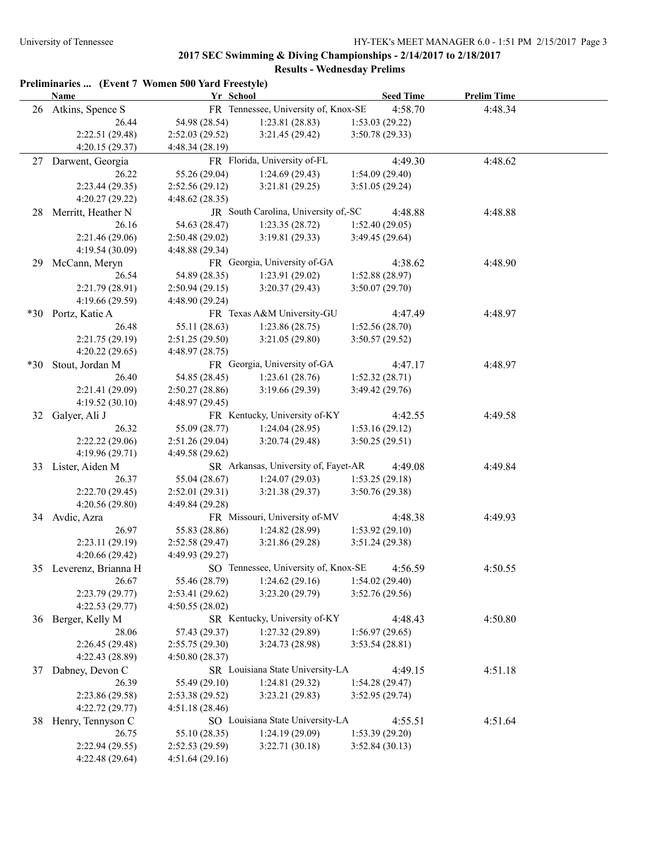|       | Preliminaries  (Event 7 Women 500 Yard Freestyle)<br><b>Name</b> | Yr School       |                                      | <b>Seed Time</b> | <b>Prelim Time</b> |  |
|-------|------------------------------------------------------------------|-----------------|--------------------------------------|------------------|--------------------|--|
|       | 26 Atkins, Spence S                                              |                 | FR Tennessee, University of, Knox-SE | 4:58.70          | 4:48.34            |  |
|       | 26.44                                                            | 54.98 (28.54)   | 1:23.81(28.83)                       | 1:53.03(29.22)   |                    |  |
|       | 2:22.51 (29.48)                                                  | 2:52.03(29.52)  | 3:21.45(29.42)                       | 3:50.78(29.33)   |                    |  |
|       | 4:20.15 (29.37)                                                  | 4:48.34(28.19)  |                                      |                  |                    |  |
|       | 27 Darwent, Georgia                                              |                 | FR Florida, University of-FL         | 4:49.30          | 4:48.62            |  |
|       | 26.22                                                            | 55.26 (29.04)   | 1:24.69(29.43)                       | 1:54.09(29.40)   |                    |  |
|       | 2:23.44 (29.35)                                                  | 2:52.56 (29.12) | 3:21.81(29.25)                       | 3:51.05(29.24)   |                    |  |
|       | 4:20.27(29.22)                                                   | 4:48.62(28.35)  |                                      |                  |                    |  |
| 28.   | Merritt, Heather N                                               |                 | JR South Carolina, University of,-SC | 4:48.88          | 4:48.88            |  |
|       | 26.16                                                            | 54.63 (28.47)   | 1:23.35(28.72)                       | 1:52.40(29.05)   |                    |  |
|       | 2:21.46 (29.06)                                                  | 2:50.48 (29.02) | 3:19.81(29.33)                       | 3:49.45 (29.64)  |                    |  |
|       | 4:19.54 (30.09)                                                  | 4:48.88 (29.34) |                                      |                  |                    |  |
| 29.   | McCann, Meryn                                                    |                 | FR Georgia, University of-GA         | 4:38.62          | 4:48.90            |  |
|       | 26.54                                                            | 54.89 (28.35)   | 1:23.91(29.02)                       | 1:52.88 (28.97)  |                    |  |
|       | 2:21.79 (28.91)                                                  | 2:50.94(29.15)  | 3:20.37(29.43)                       | 3:50.07(29.70)   |                    |  |
|       | 4:19.66 (29.59)                                                  | 4:48.90 (29.24) |                                      |                  |                    |  |
|       | *30 Portz, Katie A                                               |                 | FR Texas A&M University-GU           | 4:47.49          | 4:48.97            |  |
|       | 26.48                                                            | 55.11 (28.63)   | 1:23.86(28.75)                       | 1:52.56(28.70)   |                    |  |
|       | 2:21.75(29.19)                                                   | 2:51.25 (29.50) | 3:21.05(29.80)                       | 3:50.57(29.52)   |                    |  |
|       | 4:20.22(29.65)                                                   | 4:48.97 (28.75) |                                      |                  |                    |  |
| $*30$ | Stout, Jordan M                                                  |                 | FR Georgia, University of-GA         | 4:47.17          | 4:48.97            |  |
|       | 26.40                                                            | 54.85 (28.45)   | 1:23.61(28.76)                       | 1:52.32(28.71)   |                    |  |
|       | 2:21.41 (29.09)                                                  | 2:50.27(28.86)  | 3:19.66(29.39)                       | 3:49.42 (29.76)  |                    |  |
|       | 4:19.52(30.10)                                                   | 4:48.97 (29.45) |                                      |                  |                    |  |
| 32    | Galyer, Ali J                                                    |                 | FR Kentucky, University of-KY        | 4:42.55          | 4:49.58            |  |
|       | 26.32                                                            | 55.09 (28.77)   | 1:24.04(28.95)                       | 1:53.16(29.12)   |                    |  |
|       | 2:22.22(29.06)                                                   | 2:51.26(29.04)  | 3:20.74(29.48)                       | 3:50.25(29.51)   |                    |  |
|       | 4:19.96 (29.71)                                                  | 4:49.58 (29.62) |                                      |                  |                    |  |
|       | 33 Lister, Aiden M                                               |                 | SR Arkansas, University of, Fayet-AR | 4:49.08          | 4:49.84            |  |
|       | 26.37                                                            | 55.04 (28.67)   | 1:24.07(29.03)                       | 1:53.25(29.18)   |                    |  |
|       | 2:22.70 (29.45)                                                  | 2:52.01(29.31)  | 3:21.38(29.37)                       | 3:50.76(29.38)   |                    |  |
|       | 4:20.56 (29.80)                                                  | 4:49.84 (29.28) |                                      |                  |                    |  |
|       | 34 Avdic, Azra                                                   |                 | FR Missouri, University of-MV        | 4:48.38          | 4:49.93            |  |
|       | 26.97                                                            | 55.83 (28.86)   | 1:24.82(28.99)                       | 1:53.92(29.10)   |                    |  |
|       | 2:23.11(29.19)                                                   | 2:52.58(29.47)  | 3:21.86(29.28)                       | 3:51.24 (29.38)  |                    |  |
|       | 4:20.66(29.42)                                                   | 4:49.93 (29.27) |                                      |                  |                    |  |
| 35    | Leverenz, Brianna H                                              |                 | SO Tennessee, University of, Knox-SE | 4:56.59          | 4:50.55            |  |
|       | 26.67                                                            | 55.46 (28.79)   | 1:24.62(29.16)                       | 1:54.02(29.40)   |                    |  |
|       | 2:23.79(29.77)                                                   | 2:53.41(29.62)  | 3:23.20 (29.79)                      | 3:52.76 (29.56)  |                    |  |
|       | 4:22.53(29.77)                                                   | 4:50.55(28.02)  |                                      |                  |                    |  |
|       | 36 Berger, Kelly M                                               |                 | SR Kentucky, University of-KY        | 4:48.43          | 4:50.80            |  |
|       | 28.06                                                            | 57.43 (29.37)   | 1:27.32(29.89)                       | 1:56.97(29.65)   |                    |  |
|       | 2:26.45 (29.48)                                                  | 2:55.75(29.30)  | 3:24.73(28.98)                       | 3:53.54(28.81)   |                    |  |
|       | 4:22.43 (28.89)                                                  | 4:50.80(28.37)  |                                      |                  |                    |  |
| 37    | Dabney, Devon C                                                  |                 | SR Louisiana State University-LA     | 4:49.15          | 4:51.18            |  |
|       | 26.39                                                            | 55.49 (29.10)   | 1:24.81(29.32)                       | 1:54.28(29.47)   |                    |  |
|       | 2:23.86 (29.58)                                                  | 2:53.38 (29.52) | 3:23.21(29.83)                       | 3:52.95(29.74)   |                    |  |
|       | 4:22.72 (29.77)                                                  | 4:51.18(28.46)  |                                      |                  |                    |  |
|       | 38 Henry, Tennyson C                                             |                 | SO Louisiana State University-LA     | 4:55.51          | 4:51.64            |  |
|       | 26.75                                                            | 55.10 (28.35)   | 1:24.19 (29.09)                      | 1:53.39(29.20)   |                    |  |
|       | 2:22.94 (29.55)                                                  | 2:52.53 (29.59) | 3:22.71(30.18)                       | 3:52.84(30.13)   |                    |  |
|       | 4:22.48 (29.64)                                                  | 4:51.64(29.16)  |                                      |                  |                    |  |
|       |                                                                  |                 |                                      |                  |                    |  |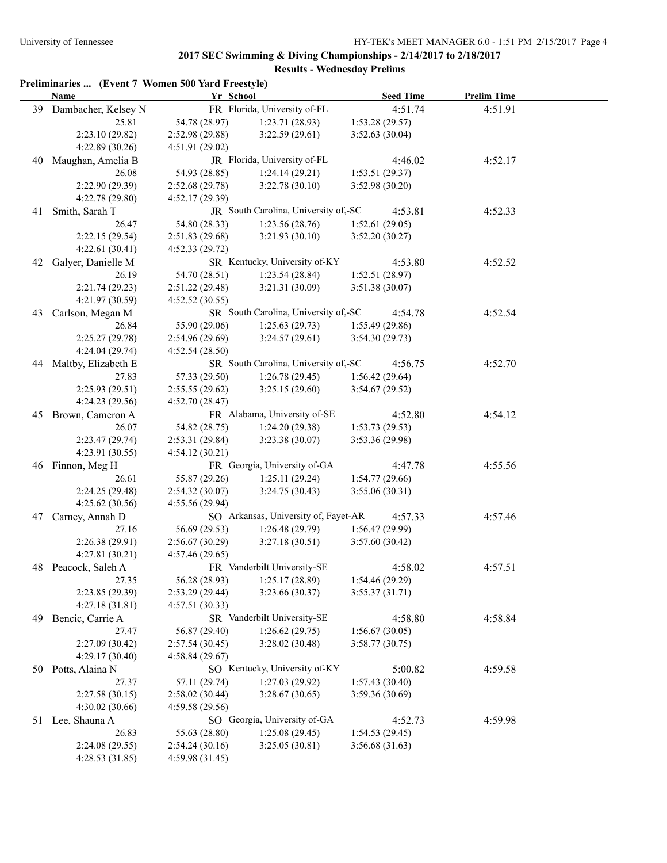### **Preliminaries ... (Event 7 Women 500 Yard Freestyle)**

| 39 Dambacher, Kelsey N<br>FR Florida, University of-FL<br>4:51.74<br>4:51.91<br>25.81<br>54.78 (28.97)<br>1:23.71(28.93)<br>1:53.28 (29.57)<br>2:23.10 (29.82)<br>2:52.98(29.88)<br>3:22.59(29.61)<br>3:52.63(30.04)<br>4:22.89 (30.26)<br>4:51.91(29.02)<br>JR Florida, University of-FL<br>40 Maughan, Amelia B<br>4:46.02<br>4:52.17<br>26.08<br>54.93 (28.85)<br>1:24.14(29.21)<br>1:53.51(29.37)<br>2:22.90 (29.39)<br>2:52.68(29.78)<br>3:22.78(30.10)<br>3:52.98 (30.20)<br>4:22.78 (29.80)<br>4:52.17(29.39)<br>JR South Carolina, University of,-SC<br>41 Smith, Sarah T<br>4:53.81<br>4:52.33<br>26.47<br>54.80 (28.33)<br>1:23.56(28.76)<br>1:52.61(29.05)<br>2:22.15 (29.54)<br>3:21.93(30.10)<br>3:52.20(30.27)<br>2:51.83(29.68)<br>4:22.61(30.41)<br>4:52.33(29.72)<br>SR Kentucky, University of-KY<br>42 Galyer, Danielle M<br>4:53.80<br>4:52.52<br>1:23.54(28.84)<br>26.19<br>54.70 (28.51)<br>1:52.51(28.97)<br>3:21.31(30.09)<br>3:51.38(30.07)<br>2:21.74(29.23)<br>2:51.22(29.48)<br>4:21.97 (30.59)<br>4:52.52(30.55)<br>SR South Carolina, University of,-SC<br>43 Carlson, Megan M<br>4:54.78<br>4:52.54<br>26.84<br>55.90 (29.06)<br>1:25.63(29.73)<br>1:55.49(29.86)<br>3:24.57(29.61)<br>3:54.30(29.73)<br>2:25.27(29.78)<br>2:54.96(29.69)<br>4:24.04 (29.74)<br>4:52.54 (28.50)<br>SR South Carolina, University of,-SC<br>44 Maltby, Elizabeth E<br>4:56.75<br>4:52.70<br>27.83<br>57.33 (29.50)<br>1:26.78(29.45)<br>1:56.42(29.64)<br>2:25.93(29.51)<br>2:55.55(29.62)<br>3:25.15(29.60)<br>3:54.67(29.52)<br>4:24.23 (29.56)<br>4:52.70(28.47)<br>FR Alabama, University of-SE<br>45 Brown, Cameron A<br>4:52.80<br>4:54.12<br>26.07<br>54.82 (28.75)<br>1:24.20(29.38)<br>1:53.73(29.53)<br>2:23.47(29.74)<br>3:23.38(30.07)<br>3:53.36 (29.98)<br>2:53.31(29.84)<br>4:23.91 (30.55)<br>4:54.12(30.21)<br>FR Georgia, University of-GA<br>46 Finnon, Meg H<br>4:47.78<br>4:55.56<br>26.61<br>55.87 (29.26)<br>1:25.11(29.24)<br>1:54.77(29.66)<br>2:24.25 (29.48)<br>3:24.75(30.43)<br>3:55.06(30.31)<br>2:54.32(30.07)<br>4:25.62(30.56)<br>4:55.56(29.94)<br>SO Arkansas, University of, Fayet-AR<br>Carney, Annah D<br>4:57.33<br>4:57.46<br>47<br>27.16<br>56.69 (29.53)<br>1:26.48 (29.79)<br>1:56.47(29.99)<br>2:26.38 (29.91)<br>3:27.18(30.51)<br>3:57.60(30.42)<br>2:56.67(30.29)<br>4:27.81(30.21)<br>4:57.46(29.65)<br>FR Vanderbilt University-SE<br>48 Peacock, Saleh A<br>4:58.02<br>4:57.51<br>1:25.17 (28.89)<br>56.28 (28.93)<br>27.35<br>1:54.46(29.29)<br>2:23.85 (29.39)<br>2:53.29 (29.44)<br>3:55.37(31.71)<br>3:23.66(30.37)<br>4:27.18 (31.81)<br>4:57.51(30.33)<br>SR Vanderbilt University-SE<br>Bencic, Carrie A<br>4:58.80<br>4:58.84<br>49<br>56.87 (29.40)<br>1:26.62(29.75)<br>1:56.67(30.05)<br>27.47<br>2:27.09 (30.42)<br>3:58.77(30.75)<br>2:57.54(30.45)<br>3:28.02(30.48)<br>4:29.17 (30.40)<br>4:58.84(29.67)<br>SO Kentucky, University of-KY<br>Potts, Alaina N<br>5:00.82<br>4:59.58<br>50<br>27.37<br>57.11 (29.74)<br>1:27.03(29.92)<br>1:57.43(30.40)<br>2:27.58(30.15)<br>2:58.02 (30.44)<br>3:28.67(30.65)<br>3:59.36 (30.69)<br>4:30.02 (30.66)<br>4:59.58(29.56)<br>SO Georgia, University of-GA<br>4:52.73<br>4:59.98<br>Lee, Shauna A<br>51 | Name           | Yr School       |                |                | <b>Seed Time</b> | <b>Prelim Time</b> |  |
|-----------------------------------------------------------------------------------------------------------------------------------------------------------------------------------------------------------------------------------------------------------------------------------------------------------------------------------------------------------------------------------------------------------------------------------------------------------------------------------------------------------------------------------------------------------------------------------------------------------------------------------------------------------------------------------------------------------------------------------------------------------------------------------------------------------------------------------------------------------------------------------------------------------------------------------------------------------------------------------------------------------------------------------------------------------------------------------------------------------------------------------------------------------------------------------------------------------------------------------------------------------------------------------------------------------------------------------------------------------------------------------------------------------------------------------------------------------------------------------------------------------------------------------------------------------------------------------------------------------------------------------------------------------------------------------------------------------------------------------------------------------------------------------------------------------------------------------------------------------------------------------------------------------------------------------------------------------------------------------------------------------------------------------------------------------------------------------------------------------------------------------------------------------------------------------------------------------------------------------------------------------------------------------------------------------------------------------------------------------------------------------------------------------------------------------------------------------------------------------------------------------------------------------------------------------------------------------------------------------------------------------------------------------------------------------------------------------------------------------------------------------------------------------------------------------------------------------------------------------------------------------------------------------------------------------------------------------------------------------------------------------------------------------------------------------------------------------------------------------------------------------------------------------------------------------------------------------------------------------|----------------|-----------------|----------------|----------------|------------------|--------------------|--|
|                                                                                                                                                                                                                                                                                                                                                                                                                                                                                                                                                                                                                                                                                                                                                                                                                                                                                                                                                                                                                                                                                                                                                                                                                                                                                                                                                                                                                                                                                                                                                                                                                                                                                                                                                                                                                                                                                                                                                                                                                                                                                                                                                                                                                                                                                                                                                                                                                                                                                                                                                                                                                                                                                                                                                                                                                                                                                                                                                                                                                                                                                                                                                                                                                                   |                |                 |                |                |                  |                    |  |
|                                                                                                                                                                                                                                                                                                                                                                                                                                                                                                                                                                                                                                                                                                                                                                                                                                                                                                                                                                                                                                                                                                                                                                                                                                                                                                                                                                                                                                                                                                                                                                                                                                                                                                                                                                                                                                                                                                                                                                                                                                                                                                                                                                                                                                                                                                                                                                                                                                                                                                                                                                                                                                                                                                                                                                                                                                                                                                                                                                                                                                                                                                                                                                                                                                   |                |                 |                |                |                  |                    |  |
|                                                                                                                                                                                                                                                                                                                                                                                                                                                                                                                                                                                                                                                                                                                                                                                                                                                                                                                                                                                                                                                                                                                                                                                                                                                                                                                                                                                                                                                                                                                                                                                                                                                                                                                                                                                                                                                                                                                                                                                                                                                                                                                                                                                                                                                                                                                                                                                                                                                                                                                                                                                                                                                                                                                                                                                                                                                                                                                                                                                                                                                                                                                                                                                                                                   |                |                 |                |                |                  |                    |  |
|                                                                                                                                                                                                                                                                                                                                                                                                                                                                                                                                                                                                                                                                                                                                                                                                                                                                                                                                                                                                                                                                                                                                                                                                                                                                                                                                                                                                                                                                                                                                                                                                                                                                                                                                                                                                                                                                                                                                                                                                                                                                                                                                                                                                                                                                                                                                                                                                                                                                                                                                                                                                                                                                                                                                                                                                                                                                                                                                                                                                                                                                                                                                                                                                                                   |                |                 |                |                |                  |                    |  |
|                                                                                                                                                                                                                                                                                                                                                                                                                                                                                                                                                                                                                                                                                                                                                                                                                                                                                                                                                                                                                                                                                                                                                                                                                                                                                                                                                                                                                                                                                                                                                                                                                                                                                                                                                                                                                                                                                                                                                                                                                                                                                                                                                                                                                                                                                                                                                                                                                                                                                                                                                                                                                                                                                                                                                                                                                                                                                                                                                                                                                                                                                                                                                                                                                                   |                |                 |                |                |                  |                    |  |
|                                                                                                                                                                                                                                                                                                                                                                                                                                                                                                                                                                                                                                                                                                                                                                                                                                                                                                                                                                                                                                                                                                                                                                                                                                                                                                                                                                                                                                                                                                                                                                                                                                                                                                                                                                                                                                                                                                                                                                                                                                                                                                                                                                                                                                                                                                                                                                                                                                                                                                                                                                                                                                                                                                                                                                                                                                                                                                                                                                                                                                                                                                                                                                                                                                   |                |                 |                |                |                  |                    |  |
|                                                                                                                                                                                                                                                                                                                                                                                                                                                                                                                                                                                                                                                                                                                                                                                                                                                                                                                                                                                                                                                                                                                                                                                                                                                                                                                                                                                                                                                                                                                                                                                                                                                                                                                                                                                                                                                                                                                                                                                                                                                                                                                                                                                                                                                                                                                                                                                                                                                                                                                                                                                                                                                                                                                                                                                                                                                                                                                                                                                                                                                                                                                                                                                                                                   |                |                 |                |                |                  |                    |  |
|                                                                                                                                                                                                                                                                                                                                                                                                                                                                                                                                                                                                                                                                                                                                                                                                                                                                                                                                                                                                                                                                                                                                                                                                                                                                                                                                                                                                                                                                                                                                                                                                                                                                                                                                                                                                                                                                                                                                                                                                                                                                                                                                                                                                                                                                                                                                                                                                                                                                                                                                                                                                                                                                                                                                                                                                                                                                                                                                                                                                                                                                                                                                                                                                                                   |                |                 |                |                |                  |                    |  |
|                                                                                                                                                                                                                                                                                                                                                                                                                                                                                                                                                                                                                                                                                                                                                                                                                                                                                                                                                                                                                                                                                                                                                                                                                                                                                                                                                                                                                                                                                                                                                                                                                                                                                                                                                                                                                                                                                                                                                                                                                                                                                                                                                                                                                                                                                                                                                                                                                                                                                                                                                                                                                                                                                                                                                                                                                                                                                                                                                                                                                                                                                                                                                                                                                                   |                |                 |                |                |                  |                    |  |
|                                                                                                                                                                                                                                                                                                                                                                                                                                                                                                                                                                                                                                                                                                                                                                                                                                                                                                                                                                                                                                                                                                                                                                                                                                                                                                                                                                                                                                                                                                                                                                                                                                                                                                                                                                                                                                                                                                                                                                                                                                                                                                                                                                                                                                                                                                                                                                                                                                                                                                                                                                                                                                                                                                                                                                                                                                                                                                                                                                                                                                                                                                                                                                                                                                   |                |                 |                |                |                  |                    |  |
|                                                                                                                                                                                                                                                                                                                                                                                                                                                                                                                                                                                                                                                                                                                                                                                                                                                                                                                                                                                                                                                                                                                                                                                                                                                                                                                                                                                                                                                                                                                                                                                                                                                                                                                                                                                                                                                                                                                                                                                                                                                                                                                                                                                                                                                                                                                                                                                                                                                                                                                                                                                                                                                                                                                                                                                                                                                                                                                                                                                                                                                                                                                                                                                                                                   |                |                 |                |                |                  |                    |  |
|                                                                                                                                                                                                                                                                                                                                                                                                                                                                                                                                                                                                                                                                                                                                                                                                                                                                                                                                                                                                                                                                                                                                                                                                                                                                                                                                                                                                                                                                                                                                                                                                                                                                                                                                                                                                                                                                                                                                                                                                                                                                                                                                                                                                                                                                                                                                                                                                                                                                                                                                                                                                                                                                                                                                                                                                                                                                                                                                                                                                                                                                                                                                                                                                                                   |                |                 |                |                |                  |                    |  |
|                                                                                                                                                                                                                                                                                                                                                                                                                                                                                                                                                                                                                                                                                                                                                                                                                                                                                                                                                                                                                                                                                                                                                                                                                                                                                                                                                                                                                                                                                                                                                                                                                                                                                                                                                                                                                                                                                                                                                                                                                                                                                                                                                                                                                                                                                                                                                                                                                                                                                                                                                                                                                                                                                                                                                                                                                                                                                                                                                                                                                                                                                                                                                                                                                                   |                |                 |                |                |                  |                    |  |
|                                                                                                                                                                                                                                                                                                                                                                                                                                                                                                                                                                                                                                                                                                                                                                                                                                                                                                                                                                                                                                                                                                                                                                                                                                                                                                                                                                                                                                                                                                                                                                                                                                                                                                                                                                                                                                                                                                                                                                                                                                                                                                                                                                                                                                                                                                                                                                                                                                                                                                                                                                                                                                                                                                                                                                                                                                                                                                                                                                                                                                                                                                                                                                                                                                   |                |                 |                |                |                  |                    |  |
|                                                                                                                                                                                                                                                                                                                                                                                                                                                                                                                                                                                                                                                                                                                                                                                                                                                                                                                                                                                                                                                                                                                                                                                                                                                                                                                                                                                                                                                                                                                                                                                                                                                                                                                                                                                                                                                                                                                                                                                                                                                                                                                                                                                                                                                                                                                                                                                                                                                                                                                                                                                                                                                                                                                                                                                                                                                                                                                                                                                                                                                                                                                                                                                                                                   |                |                 |                |                |                  |                    |  |
|                                                                                                                                                                                                                                                                                                                                                                                                                                                                                                                                                                                                                                                                                                                                                                                                                                                                                                                                                                                                                                                                                                                                                                                                                                                                                                                                                                                                                                                                                                                                                                                                                                                                                                                                                                                                                                                                                                                                                                                                                                                                                                                                                                                                                                                                                                                                                                                                                                                                                                                                                                                                                                                                                                                                                                                                                                                                                                                                                                                                                                                                                                                                                                                                                                   |                |                 |                |                |                  |                    |  |
|                                                                                                                                                                                                                                                                                                                                                                                                                                                                                                                                                                                                                                                                                                                                                                                                                                                                                                                                                                                                                                                                                                                                                                                                                                                                                                                                                                                                                                                                                                                                                                                                                                                                                                                                                                                                                                                                                                                                                                                                                                                                                                                                                                                                                                                                                                                                                                                                                                                                                                                                                                                                                                                                                                                                                                                                                                                                                                                                                                                                                                                                                                                                                                                                                                   |                |                 |                |                |                  |                    |  |
|                                                                                                                                                                                                                                                                                                                                                                                                                                                                                                                                                                                                                                                                                                                                                                                                                                                                                                                                                                                                                                                                                                                                                                                                                                                                                                                                                                                                                                                                                                                                                                                                                                                                                                                                                                                                                                                                                                                                                                                                                                                                                                                                                                                                                                                                                                                                                                                                                                                                                                                                                                                                                                                                                                                                                                                                                                                                                                                                                                                                                                                                                                                                                                                                                                   |                |                 |                |                |                  |                    |  |
|                                                                                                                                                                                                                                                                                                                                                                                                                                                                                                                                                                                                                                                                                                                                                                                                                                                                                                                                                                                                                                                                                                                                                                                                                                                                                                                                                                                                                                                                                                                                                                                                                                                                                                                                                                                                                                                                                                                                                                                                                                                                                                                                                                                                                                                                                                                                                                                                                                                                                                                                                                                                                                                                                                                                                                                                                                                                                                                                                                                                                                                                                                                                                                                                                                   |                |                 |                |                |                  |                    |  |
|                                                                                                                                                                                                                                                                                                                                                                                                                                                                                                                                                                                                                                                                                                                                                                                                                                                                                                                                                                                                                                                                                                                                                                                                                                                                                                                                                                                                                                                                                                                                                                                                                                                                                                                                                                                                                                                                                                                                                                                                                                                                                                                                                                                                                                                                                                                                                                                                                                                                                                                                                                                                                                                                                                                                                                                                                                                                                                                                                                                                                                                                                                                                                                                                                                   |                |                 |                |                |                  |                    |  |
|                                                                                                                                                                                                                                                                                                                                                                                                                                                                                                                                                                                                                                                                                                                                                                                                                                                                                                                                                                                                                                                                                                                                                                                                                                                                                                                                                                                                                                                                                                                                                                                                                                                                                                                                                                                                                                                                                                                                                                                                                                                                                                                                                                                                                                                                                                                                                                                                                                                                                                                                                                                                                                                                                                                                                                                                                                                                                                                                                                                                                                                                                                                                                                                                                                   |                |                 |                |                |                  |                    |  |
|                                                                                                                                                                                                                                                                                                                                                                                                                                                                                                                                                                                                                                                                                                                                                                                                                                                                                                                                                                                                                                                                                                                                                                                                                                                                                                                                                                                                                                                                                                                                                                                                                                                                                                                                                                                                                                                                                                                                                                                                                                                                                                                                                                                                                                                                                                                                                                                                                                                                                                                                                                                                                                                                                                                                                                                                                                                                                                                                                                                                                                                                                                                                                                                                                                   |                |                 |                |                |                  |                    |  |
|                                                                                                                                                                                                                                                                                                                                                                                                                                                                                                                                                                                                                                                                                                                                                                                                                                                                                                                                                                                                                                                                                                                                                                                                                                                                                                                                                                                                                                                                                                                                                                                                                                                                                                                                                                                                                                                                                                                                                                                                                                                                                                                                                                                                                                                                                                                                                                                                                                                                                                                                                                                                                                                                                                                                                                                                                                                                                                                                                                                                                                                                                                                                                                                                                                   |                |                 |                |                |                  |                    |  |
|                                                                                                                                                                                                                                                                                                                                                                                                                                                                                                                                                                                                                                                                                                                                                                                                                                                                                                                                                                                                                                                                                                                                                                                                                                                                                                                                                                                                                                                                                                                                                                                                                                                                                                                                                                                                                                                                                                                                                                                                                                                                                                                                                                                                                                                                                                                                                                                                                                                                                                                                                                                                                                                                                                                                                                                                                                                                                                                                                                                                                                                                                                                                                                                                                                   |                |                 |                |                |                  |                    |  |
|                                                                                                                                                                                                                                                                                                                                                                                                                                                                                                                                                                                                                                                                                                                                                                                                                                                                                                                                                                                                                                                                                                                                                                                                                                                                                                                                                                                                                                                                                                                                                                                                                                                                                                                                                                                                                                                                                                                                                                                                                                                                                                                                                                                                                                                                                                                                                                                                                                                                                                                                                                                                                                                                                                                                                                                                                                                                                                                                                                                                                                                                                                                                                                                                                                   |                |                 |                |                |                  |                    |  |
|                                                                                                                                                                                                                                                                                                                                                                                                                                                                                                                                                                                                                                                                                                                                                                                                                                                                                                                                                                                                                                                                                                                                                                                                                                                                                                                                                                                                                                                                                                                                                                                                                                                                                                                                                                                                                                                                                                                                                                                                                                                                                                                                                                                                                                                                                                                                                                                                                                                                                                                                                                                                                                                                                                                                                                                                                                                                                                                                                                                                                                                                                                                                                                                                                                   |                |                 |                |                |                  |                    |  |
|                                                                                                                                                                                                                                                                                                                                                                                                                                                                                                                                                                                                                                                                                                                                                                                                                                                                                                                                                                                                                                                                                                                                                                                                                                                                                                                                                                                                                                                                                                                                                                                                                                                                                                                                                                                                                                                                                                                                                                                                                                                                                                                                                                                                                                                                                                                                                                                                                                                                                                                                                                                                                                                                                                                                                                                                                                                                                                                                                                                                                                                                                                                                                                                                                                   |                |                 |                |                |                  |                    |  |
|                                                                                                                                                                                                                                                                                                                                                                                                                                                                                                                                                                                                                                                                                                                                                                                                                                                                                                                                                                                                                                                                                                                                                                                                                                                                                                                                                                                                                                                                                                                                                                                                                                                                                                                                                                                                                                                                                                                                                                                                                                                                                                                                                                                                                                                                                                                                                                                                                                                                                                                                                                                                                                                                                                                                                                                                                                                                                                                                                                                                                                                                                                                                                                                                                                   |                |                 |                |                |                  |                    |  |
|                                                                                                                                                                                                                                                                                                                                                                                                                                                                                                                                                                                                                                                                                                                                                                                                                                                                                                                                                                                                                                                                                                                                                                                                                                                                                                                                                                                                                                                                                                                                                                                                                                                                                                                                                                                                                                                                                                                                                                                                                                                                                                                                                                                                                                                                                                                                                                                                                                                                                                                                                                                                                                                                                                                                                                                                                                                                                                                                                                                                                                                                                                                                                                                                                                   |                |                 |                |                |                  |                    |  |
|                                                                                                                                                                                                                                                                                                                                                                                                                                                                                                                                                                                                                                                                                                                                                                                                                                                                                                                                                                                                                                                                                                                                                                                                                                                                                                                                                                                                                                                                                                                                                                                                                                                                                                                                                                                                                                                                                                                                                                                                                                                                                                                                                                                                                                                                                                                                                                                                                                                                                                                                                                                                                                                                                                                                                                                                                                                                                                                                                                                                                                                                                                                                                                                                                                   |                |                 |                |                |                  |                    |  |
|                                                                                                                                                                                                                                                                                                                                                                                                                                                                                                                                                                                                                                                                                                                                                                                                                                                                                                                                                                                                                                                                                                                                                                                                                                                                                                                                                                                                                                                                                                                                                                                                                                                                                                                                                                                                                                                                                                                                                                                                                                                                                                                                                                                                                                                                                                                                                                                                                                                                                                                                                                                                                                                                                                                                                                                                                                                                                                                                                                                                                                                                                                                                                                                                                                   |                |                 |                |                |                  |                    |  |
|                                                                                                                                                                                                                                                                                                                                                                                                                                                                                                                                                                                                                                                                                                                                                                                                                                                                                                                                                                                                                                                                                                                                                                                                                                                                                                                                                                                                                                                                                                                                                                                                                                                                                                                                                                                                                                                                                                                                                                                                                                                                                                                                                                                                                                                                                                                                                                                                                                                                                                                                                                                                                                                                                                                                                                                                                                                                                                                                                                                                                                                                                                                                                                                                                                   |                |                 |                |                |                  |                    |  |
|                                                                                                                                                                                                                                                                                                                                                                                                                                                                                                                                                                                                                                                                                                                                                                                                                                                                                                                                                                                                                                                                                                                                                                                                                                                                                                                                                                                                                                                                                                                                                                                                                                                                                                                                                                                                                                                                                                                                                                                                                                                                                                                                                                                                                                                                                                                                                                                                                                                                                                                                                                                                                                                                                                                                                                                                                                                                                                                                                                                                                                                                                                                                                                                                                                   |                |                 |                |                |                  |                    |  |
|                                                                                                                                                                                                                                                                                                                                                                                                                                                                                                                                                                                                                                                                                                                                                                                                                                                                                                                                                                                                                                                                                                                                                                                                                                                                                                                                                                                                                                                                                                                                                                                                                                                                                                                                                                                                                                                                                                                                                                                                                                                                                                                                                                                                                                                                                                                                                                                                                                                                                                                                                                                                                                                                                                                                                                                                                                                                                                                                                                                                                                                                                                                                                                                                                                   |                |                 |                |                |                  |                    |  |
|                                                                                                                                                                                                                                                                                                                                                                                                                                                                                                                                                                                                                                                                                                                                                                                                                                                                                                                                                                                                                                                                                                                                                                                                                                                                                                                                                                                                                                                                                                                                                                                                                                                                                                                                                                                                                                                                                                                                                                                                                                                                                                                                                                                                                                                                                                                                                                                                                                                                                                                                                                                                                                                                                                                                                                                                                                                                                                                                                                                                                                                                                                                                                                                                                                   |                |                 |                |                |                  |                    |  |
|                                                                                                                                                                                                                                                                                                                                                                                                                                                                                                                                                                                                                                                                                                                                                                                                                                                                                                                                                                                                                                                                                                                                                                                                                                                                                                                                                                                                                                                                                                                                                                                                                                                                                                                                                                                                                                                                                                                                                                                                                                                                                                                                                                                                                                                                                                                                                                                                                                                                                                                                                                                                                                                                                                                                                                                                                                                                                                                                                                                                                                                                                                                                                                                                                                   |                |                 |                |                |                  |                    |  |
|                                                                                                                                                                                                                                                                                                                                                                                                                                                                                                                                                                                                                                                                                                                                                                                                                                                                                                                                                                                                                                                                                                                                                                                                                                                                                                                                                                                                                                                                                                                                                                                                                                                                                                                                                                                                                                                                                                                                                                                                                                                                                                                                                                                                                                                                                                                                                                                                                                                                                                                                                                                                                                                                                                                                                                                                                                                                                                                                                                                                                                                                                                                                                                                                                                   |                |                 |                |                |                  |                    |  |
|                                                                                                                                                                                                                                                                                                                                                                                                                                                                                                                                                                                                                                                                                                                                                                                                                                                                                                                                                                                                                                                                                                                                                                                                                                                                                                                                                                                                                                                                                                                                                                                                                                                                                                                                                                                                                                                                                                                                                                                                                                                                                                                                                                                                                                                                                                                                                                                                                                                                                                                                                                                                                                                                                                                                                                                                                                                                                                                                                                                                                                                                                                                                                                                                                                   |                |                 |                |                |                  |                    |  |
|                                                                                                                                                                                                                                                                                                                                                                                                                                                                                                                                                                                                                                                                                                                                                                                                                                                                                                                                                                                                                                                                                                                                                                                                                                                                                                                                                                                                                                                                                                                                                                                                                                                                                                                                                                                                                                                                                                                                                                                                                                                                                                                                                                                                                                                                                                                                                                                                                                                                                                                                                                                                                                                                                                                                                                                                                                                                                                                                                                                                                                                                                                                                                                                                                                   |                |                 |                |                |                  |                    |  |
|                                                                                                                                                                                                                                                                                                                                                                                                                                                                                                                                                                                                                                                                                                                                                                                                                                                                                                                                                                                                                                                                                                                                                                                                                                                                                                                                                                                                                                                                                                                                                                                                                                                                                                                                                                                                                                                                                                                                                                                                                                                                                                                                                                                                                                                                                                                                                                                                                                                                                                                                                                                                                                                                                                                                                                                                                                                                                                                                                                                                                                                                                                                                                                                                                                   |                |                 |                |                |                  |                    |  |
|                                                                                                                                                                                                                                                                                                                                                                                                                                                                                                                                                                                                                                                                                                                                                                                                                                                                                                                                                                                                                                                                                                                                                                                                                                                                                                                                                                                                                                                                                                                                                                                                                                                                                                                                                                                                                                                                                                                                                                                                                                                                                                                                                                                                                                                                                                                                                                                                                                                                                                                                                                                                                                                                                                                                                                                                                                                                                                                                                                                                                                                                                                                                                                                                                                   |                |                 |                |                |                  |                    |  |
|                                                                                                                                                                                                                                                                                                                                                                                                                                                                                                                                                                                                                                                                                                                                                                                                                                                                                                                                                                                                                                                                                                                                                                                                                                                                                                                                                                                                                                                                                                                                                                                                                                                                                                                                                                                                                                                                                                                                                                                                                                                                                                                                                                                                                                                                                                                                                                                                                                                                                                                                                                                                                                                                                                                                                                                                                                                                                                                                                                                                                                                                                                                                                                                                                                   |                |                 |                |                |                  |                    |  |
|                                                                                                                                                                                                                                                                                                                                                                                                                                                                                                                                                                                                                                                                                                                                                                                                                                                                                                                                                                                                                                                                                                                                                                                                                                                                                                                                                                                                                                                                                                                                                                                                                                                                                                                                                                                                                                                                                                                                                                                                                                                                                                                                                                                                                                                                                                                                                                                                                                                                                                                                                                                                                                                                                                                                                                                                                                                                                                                                                                                                                                                                                                                                                                                                                                   |                |                 |                |                |                  |                    |  |
|                                                                                                                                                                                                                                                                                                                                                                                                                                                                                                                                                                                                                                                                                                                                                                                                                                                                                                                                                                                                                                                                                                                                                                                                                                                                                                                                                                                                                                                                                                                                                                                                                                                                                                                                                                                                                                                                                                                                                                                                                                                                                                                                                                                                                                                                                                                                                                                                                                                                                                                                                                                                                                                                                                                                                                                                                                                                                                                                                                                                                                                                                                                                                                                                                                   |                |                 |                |                |                  |                    |  |
|                                                                                                                                                                                                                                                                                                                                                                                                                                                                                                                                                                                                                                                                                                                                                                                                                                                                                                                                                                                                                                                                                                                                                                                                                                                                                                                                                                                                                                                                                                                                                                                                                                                                                                                                                                                                                                                                                                                                                                                                                                                                                                                                                                                                                                                                                                                                                                                                                                                                                                                                                                                                                                                                                                                                                                                                                                                                                                                                                                                                                                                                                                                                                                                                                                   |                |                 |                |                |                  |                    |  |
|                                                                                                                                                                                                                                                                                                                                                                                                                                                                                                                                                                                                                                                                                                                                                                                                                                                                                                                                                                                                                                                                                                                                                                                                                                                                                                                                                                                                                                                                                                                                                                                                                                                                                                                                                                                                                                                                                                                                                                                                                                                                                                                                                                                                                                                                                                                                                                                                                                                                                                                                                                                                                                                                                                                                                                                                                                                                                                                                                                                                                                                                                                                                                                                                                                   |                |                 |                |                |                  |                    |  |
|                                                                                                                                                                                                                                                                                                                                                                                                                                                                                                                                                                                                                                                                                                                                                                                                                                                                                                                                                                                                                                                                                                                                                                                                                                                                                                                                                                                                                                                                                                                                                                                                                                                                                                                                                                                                                                                                                                                                                                                                                                                                                                                                                                                                                                                                                                                                                                                                                                                                                                                                                                                                                                                                                                                                                                                                                                                                                                                                                                                                                                                                                                                                                                                                                                   |                |                 |                |                |                  |                    |  |
|                                                                                                                                                                                                                                                                                                                                                                                                                                                                                                                                                                                                                                                                                                                                                                                                                                                                                                                                                                                                                                                                                                                                                                                                                                                                                                                                                                                                                                                                                                                                                                                                                                                                                                                                                                                                                                                                                                                                                                                                                                                                                                                                                                                                                                                                                                                                                                                                                                                                                                                                                                                                                                                                                                                                                                                                                                                                                                                                                                                                                                                                                                                                                                                                                                   |                |                 |                |                |                  |                    |  |
|                                                                                                                                                                                                                                                                                                                                                                                                                                                                                                                                                                                                                                                                                                                                                                                                                                                                                                                                                                                                                                                                                                                                                                                                                                                                                                                                                                                                                                                                                                                                                                                                                                                                                                                                                                                                                                                                                                                                                                                                                                                                                                                                                                                                                                                                                                                                                                                                                                                                                                                                                                                                                                                                                                                                                                                                                                                                                                                                                                                                                                                                                                                                                                                                                                   |                |                 |                |                |                  |                    |  |
|                                                                                                                                                                                                                                                                                                                                                                                                                                                                                                                                                                                                                                                                                                                                                                                                                                                                                                                                                                                                                                                                                                                                                                                                                                                                                                                                                                                                                                                                                                                                                                                                                                                                                                                                                                                                                                                                                                                                                                                                                                                                                                                                                                                                                                                                                                                                                                                                                                                                                                                                                                                                                                                                                                                                                                                                                                                                                                                                                                                                                                                                                                                                                                                                                                   | 26.83          | 55.63 (28.80)   | 1:25.08(29.45) | 1:54.53(29.45) |                  |                    |  |
| 2:24.08 (29.55)<br>3:25.05(30.81)<br>2:54.24(30.16)<br>3:56.68(31.63)                                                                                                                                                                                                                                                                                                                                                                                                                                                                                                                                                                                                                                                                                                                                                                                                                                                                                                                                                                                                                                                                                                                                                                                                                                                                                                                                                                                                                                                                                                                                                                                                                                                                                                                                                                                                                                                                                                                                                                                                                                                                                                                                                                                                                                                                                                                                                                                                                                                                                                                                                                                                                                                                                                                                                                                                                                                                                                                                                                                                                                                                                                                                                             |                |                 |                |                |                  |                    |  |
|                                                                                                                                                                                                                                                                                                                                                                                                                                                                                                                                                                                                                                                                                                                                                                                                                                                                                                                                                                                                                                                                                                                                                                                                                                                                                                                                                                                                                                                                                                                                                                                                                                                                                                                                                                                                                                                                                                                                                                                                                                                                                                                                                                                                                                                                                                                                                                                                                                                                                                                                                                                                                                                                                                                                                                                                                                                                                                                                                                                                                                                                                                                                                                                                                                   | 4:28.53(31.85) | 4:59.98 (31.45) |                |                |                  |                    |  |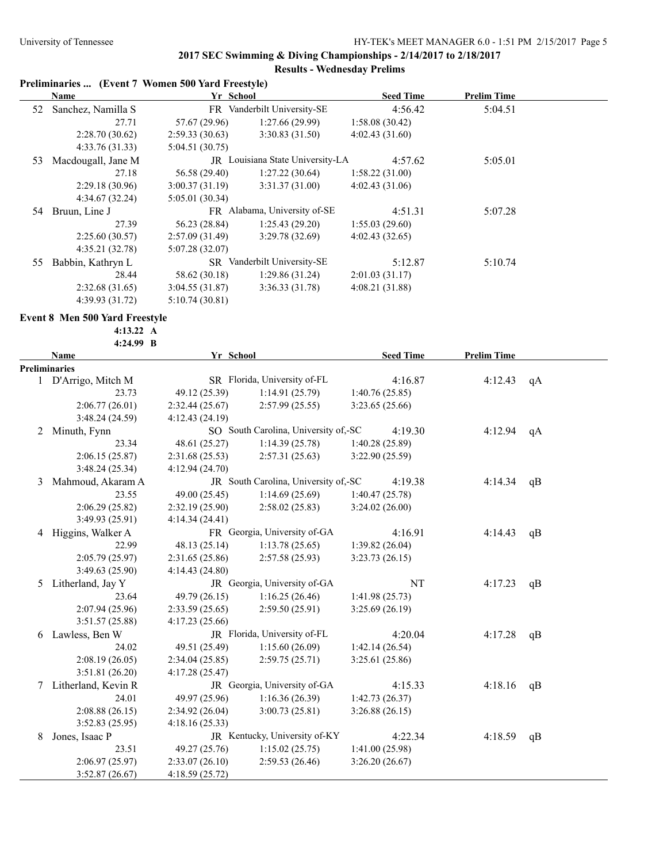# **Preliminaries ... (Event 7 Women 500 Yard Freestyle)**

|    | Name               | Yr School      |                                  | <b>Seed Time</b> | <b>Prelim Time</b> |  |
|----|--------------------|----------------|----------------------------------|------------------|--------------------|--|
| 52 | Sanchez, Namilla S |                | FR Vanderbilt University-SE      | 4:56.42          | 5:04.51            |  |
|    | 27.71              | 57.67 (29.96)  | 1:27.66(29.99)                   | 1:58.08(30.42)   |                    |  |
|    | 2:28.70(30.62)     | 2:59.33(30.63) | 3:30.83(31.50)                   | 4:02.43(31.60)   |                    |  |
|    | 4:33.76(31.33)     | 5:04.51(30.75) |                                  |                  |                    |  |
| 53 | Macdougall, Jane M |                | JR Louisiana State University-LA | 4:57.62          | 5:05.01            |  |
|    | 27.18              | 56.58 (29.40)  | 1:27.22(30.64)                   | 1:58.22(31.00)   |                    |  |
|    | 2:29.18(30.96)     | 3:00.37(31.19) | 3:31.37(31.00)                   | 4:02.43(31.06)   |                    |  |
|    | 4:34.67(32.24)     | 5:05.01(30.34) |                                  |                  |                    |  |
| 54 | Bruun, Line J      |                | FR Alabama, University of-SE     | 4:51.31          | 5:07.28            |  |
|    | 27.39              | 56.23 (28.84)  | 1:25.43(29.20)                   | 1:55.03(29.60)   |                    |  |
|    | 2:25.60(30.57)     | 2:57.09(31.49) | 3:29.78(32.69)                   | 4:02.43(32.65)   |                    |  |
|    | 4:35.21(32.78)     | 5:07.28(32.07) |                                  |                  |                    |  |
| 55 | Babbin, Kathryn L  |                | SR Vanderbilt University-SE      | 5:12.87          | 5:10.74            |  |
|    | 28.44              | 58.62 (30.18)  | 1:29.86(31.24)                   | 2:01.03(31.17)   |                    |  |
|    | 2:32.68(31.65)     | 3:04.55(31.87) | 3:36.33(31.78)                   | 4:08.21(31.88)   |                    |  |
|    | 4:39.93 (31.72)    | 5:10.74(30.81) |                                  |                  |                    |  |

#### **Event 8 Men 500 Yard Freestyle**

**4:13.22 A**

|   | 4:24.99 B            |                |                                      |  |                  |                    |    |
|---|----------------------|----------------|--------------------------------------|--|------------------|--------------------|----|
|   | <b>Name</b>          | Yr School      |                                      |  | <b>Seed Time</b> | <b>Prelim Time</b> |    |
|   | <b>Preliminaries</b> |                |                                      |  |                  |                    |    |
|   | 1 D'Arrigo, Mitch M  |                | SR Florida, University of-FL         |  | 4:16.87          | 4:12.43            | qA |
|   | 23.73                | 49.12 (25.39)  | 1:14.91(25.79)                       |  | 1:40.76(25.85)   |                    |    |
|   | 2:06.77(26.01)       | 2:32.44(25.67) | 2:57.99(25.55)                       |  | 3:23.65(25.66)   |                    |    |
|   | 3:48.24(24.59)       | 4:12.43(24.19) |                                      |  |                  |                    |    |
| 2 | Minuth, Fynn         |                | SO South Carolina, University of,-SC |  | 4:19.30          | 4:12.94            | qA |
|   | 23.34                | 48.61 (25.27)  | 1:14.39(25.78)                       |  | 1:40.28(25.89)   |                    |    |
|   | 2:06.15(25.87)       | 2:31.68(25.53) | 2:57.31(25.63)                       |  | 3:22.90(25.59)   |                    |    |
|   | 3:48.24(25.34)       | 4:12.94(24.70) |                                      |  |                  |                    |    |
| 3 | Mahmoud, Akaram A    |                | JR South Carolina, University of,-SC |  | 4:19.38          | 4:14.34            | qB |
|   | 23.55                | 49.00 (25.45)  | 1:14.69(25.69)                       |  | 1:40.47(25.78)   |                    |    |
|   | 2:06.29(25.82)       | 2:32.19(25.90) | 2:58.02(25.83)                       |  | 3:24.02(26.00)   |                    |    |
|   | 3:49.93 (25.91)      | 4:14.34(24.41) |                                      |  |                  |                    |    |
| 4 | Higgins, Walker A    |                | FR Georgia, University of-GA         |  | 4:16.91          | 4:14.43            | qB |
|   | 22.99                | 48.13 (25.14)  | 1:13.78(25.65)                       |  | 1:39.82 (26.04)  |                    |    |
|   | 2:05.79 (25.97)      | 2:31.65(25.86) | 2:57.58(25.93)                       |  | 3:23.73(26.15)   |                    |    |
|   | 3:49.63 (25.90)      | 4:14.43(24.80) |                                      |  |                  |                    |    |
| 5 | Litherland, Jay Y    |                | JR Georgia, University of-GA         |  | NT               | 4:17.23            | qB |
|   | 23.64                | 49.79 (26.15)  | 1:16.25(26.46)                       |  | 1:41.98(25.73)   |                    |    |
|   | 2:07.94 (25.96)      | 2:33.59(25.65) | 2:59.50(25.91)                       |  | 3:25.69(26.19)   |                    |    |
|   | 3:51.57(25.88)       | 4:17.23(25.66) |                                      |  |                  |                    |    |
| 6 | Lawless, Ben W       |                | JR Florida, University of-FL         |  | 4:20.04          | 4:17.28            | qB |
|   | 24.02                | 49.51 (25.49)  | 1:15.60(26.09)                       |  | 1:42.14(26.54)   |                    |    |
|   | 2:08.19(26.05)       | 2:34.04(25.85) | 2:59.75(25.71)                       |  | 3:25.61(25.86)   |                    |    |
|   | 3:51.81(26.20)       | 4:17.28(25.47) |                                      |  |                  |                    |    |
| 7 | Litherland, Kevin R  |                | JR Georgia, University of-GA         |  | 4:15.33          | 4:18.16            | qB |
|   | 24.01                | 49.97 (25.96)  | 1:16.36(26.39)                       |  | 1:42.73(26.37)   |                    |    |
|   | 2:08.88(26.15)       | 2:34.92(26.04) | 3:00.73(25.81)                       |  | 3:26.88(26.15)   |                    |    |
|   | 3:52.83(25.95)       | 4:18.16(25.33) |                                      |  |                  |                    |    |
| 8 | Jones, Isaac P       |                | JR Kentucky, University of-KY        |  | 4:22.34          | 4:18.59            | qB |
|   | 23.51                | 49.27 (25.76)  | 1:15.02(25.75)                       |  | 1:41.00(25.98)   |                    |    |
|   | 2:06.97(25.97)       | 2:33.07(26.10) | 2:59.53(26.46)                       |  | 3:26.20(26.67)   |                    |    |
|   | 3:52.87(26.67)       | 4:18.59(25.72) |                                      |  |                  |                    |    |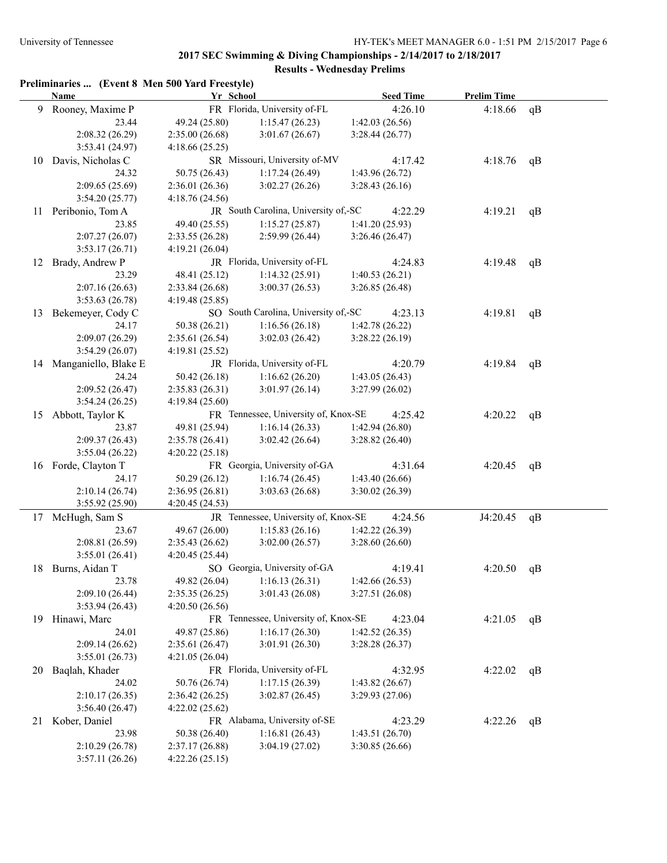|    |                         | Preliminaries  (Event 8 Men 500 Yard Freestyle) |                                      |                  |                    |    |
|----|-------------------------|-------------------------------------------------|--------------------------------------|------------------|--------------------|----|
|    | <b>Name</b>             | Yr School                                       |                                      | <b>Seed Time</b> | <b>Prelim Time</b> |    |
| 9  | Rooney, Maxime P        |                                                 | FR Florida, University of-FL         | 4:26.10          | 4:18.66            | qB |
|    | 23.44                   | 49.24 (25.80)                                   | 1:15.47(26.23)                       | 1:42.03(26.56)   |                    |    |
|    | 2:08.32(26.29)          | 2:35.00(26.68)                                  | 3:01.67(26.67)                       | 3:28.44(26.77)   |                    |    |
|    | 3:53.41 (24.97)         | 4:18.66(25.25)                                  |                                      |                  |                    |    |
|    | 10 Davis, Nicholas C    |                                                 | SR Missouri, University of-MV        | 4:17.42          | 4:18.76            | qB |
|    | 24.32                   | 50.75 (26.43)                                   | 1:17.24(26.49)                       | 1:43.96(26.72)   |                    |    |
|    | 2:09.65(25.69)          | 2:36.01(26.36)                                  | 3:02.27(26.26)                       | 3:28.43(26.16)   |                    |    |
|    | 3:54.20(25.77)          | 4:18.76(24.56)                                  |                                      |                  |                    |    |
|    | 11 Peribonio, Tom A     |                                                 | JR South Carolina, University of,-SC | 4:22.29          | 4:19.21            | qB |
|    | 23.85                   | 49.40 (25.55)                                   | 1:15.27(25.87)                       | 1:41.20(25.93)   |                    |    |
|    | 2:07.27(26.07)          | 2:33.55(26.28)                                  | 2:59.99 (26.44)                      | 3:26.46(26.47)   |                    |    |
|    | 3:53.17(26.71)          | 4:19.21(26.04)                                  |                                      |                  |                    |    |
|    | 12 Brady, Andrew P      |                                                 | JR Florida, University of-FL         | 4:24.83          | 4:19.48            | qB |
|    | 23.29                   | 48.41 (25.12)                                   | 1:14.32(25.91)                       | 1:40.53(26.21)   |                    |    |
|    | 2:07.16(26.63)          | 2:33.84(26.68)                                  | 3:00.37(26.53)                       | 3:26.85(26.48)   |                    |    |
|    | 3:53.63(26.78)          | 4:19.48(25.85)                                  |                                      |                  |                    |    |
| 13 | Bekemeyer, Cody C       |                                                 | SO South Carolina, University of,-SC | 4:23.13          | 4:19.81            | qB |
|    | 24.17                   | 50.38 (26.21)                                   | 1:16.56(26.18)                       | 1:42.78 (26.22)  |                    |    |
|    | 2:09.07(26.29)          | 2:35.61(26.54)                                  | 3:02.03(26.42)                       | 3:28.22(26.19)   |                    |    |
|    | 3:54.29(26.07)          | 4:19.81(25.52)                                  |                                      |                  |                    |    |
|    | 14 Manganiello, Blake E |                                                 | JR Florida, University of-FL         | 4:20.79          | 4:19.84            | qB |
|    | 24.24                   | 50.42 (26.18)                                   | 1:16.62(26.20)                       | 1:43.05(26.43)   |                    |    |
|    | 2:09.52(26.47)          | 2:35.83(26.31)                                  | 3:01.97(26.14)                       | 3:27.99(26.02)   |                    |    |
|    | 3:54.24(26.25)          | 4:19.84(25.60)                                  |                                      |                  |                    |    |
| 15 | Abbott, Taylor K        |                                                 | FR Tennessee, University of, Knox-SE | 4:25.42          | 4:20.22            | qB |
|    | 23.87                   | 49.81 (25.94)                                   | 1:16.14(26.33)                       | 1:42.94 (26.80)  |                    |    |
|    | 2:09.37(26.43)          | 2:35.78(26.41)                                  | 3:02.42(26.64)                       | 3:28.82(26.40)   |                    |    |
|    | 3:55.04(26.22)          | 4:20.22(25.18)                                  |                                      |                  |                    |    |
|    | 16 Forde, Clayton T     |                                                 | FR Georgia, University of-GA         | 4:31.64          | 4:20.45            | qB |
|    | 24.17                   | 50.29 (26.12)                                   | 1:16.74(26.45)                       | 1:43.40(26.66)   |                    |    |
|    | 2:10.14(26.74)          | 2:36.95(26.81)                                  | 3:03.63(26.68)                       | 3:30.02 (26.39)  |                    |    |
|    | 3:55.92(25.90)          | 4:20.45 (24.53)                                 |                                      |                  |                    |    |
|    | 17 McHugh, Sam S        |                                                 | JR Tennessee, University of, Knox-SE | 4:24.56          | J4:20.45           | qB |
|    | 23.67                   | 49.67 (26.00)                                   | 1:15.83(26.16)                       | 1:42.22 (26.39)  |                    |    |
|    | 2:08.81 (26.59)         | 2:35.43(26.62)                                  | 3:02.00(26.57)                       | 3:28.60(26.60)   |                    |    |
|    | 3:55.01(26.41)          | 4:20.45(25.44)                                  |                                      |                  |                    |    |
|    | 18 Burns, Aidan T       |                                                 | SO Georgia, University of-GA         | 4:19.41          | 4:20.50            | qB |
|    | 23.78                   | 49.82 (26.04)                                   | 1:16.13(26.31)                       | 1:42.66(26.53)   |                    |    |
|    | 2:09.10 (26.44)         | 2:35.35(26.25)                                  | 3:01.43(26.08)                       | 3:27.51(26.08)   |                    |    |
|    | 3:53.94(26.43)          | 4:20.50(26.56)                                  |                                      |                  |                    |    |
| 19 | Hinawi, Marc            |                                                 | FR Tennessee, University of, Knox-SE | 4:23.04          | 4:21.05            | qB |
|    | 24.01                   | 49.87 (25.86)                                   | 1:16.17(26.30)                       | 1:42.52(26.35)   |                    |    |
|    | 2:09.14(26.62)          | 2:35.61(26.47)                                  | 3:01.91 (26.30)                      | 3:28.28(26.37)   |                    |    |
|    | 3:55.01(26.73)          | 4:21.05(26.04)                                  |                                      |                  |                    |    |
| 20 | Baqlah, Khader          |                                                 | FR Florida, University of-FL         | 4:32.95          | 4:22.02            | qB |
|    | 24.02                   | 50.76 (26.74)                                   | 1:17.15(26.39)                       | 1:43.82(26.67)   |                    |    |
|    | 2:10.17(26.35)          | 2:36.42(26.25)                                  | 3:02.87(26.45)                       | 3:29.93(27.06)   |                    |    |
|    | 3:56.40(26.47)          | 4:22.02(25.62)                                  |                                      |                  |                    |    |
| 21 | Kober, Daniel           |                                                 | FR Alabama, University of-SE         | 4:23.29          | 4:22.26            | qB |
|    | 23.98                   | 50.38 (26.40)                                   | 1:16.81(26.43)                       | 1:43.51(26.70)   |                    |    |
|    | 2:10.29(26.78)          | 2:37.17(26.88)                                  | 3:04.19(27.02)                       | 3:30.85(26.66)   |                    |    |
|    | 3:57.11(26.26)          | 4:22.26(25.15)                                  |                                      |                  |                    |    |
|    |                         |                                                 |                                      |                  |                    |    |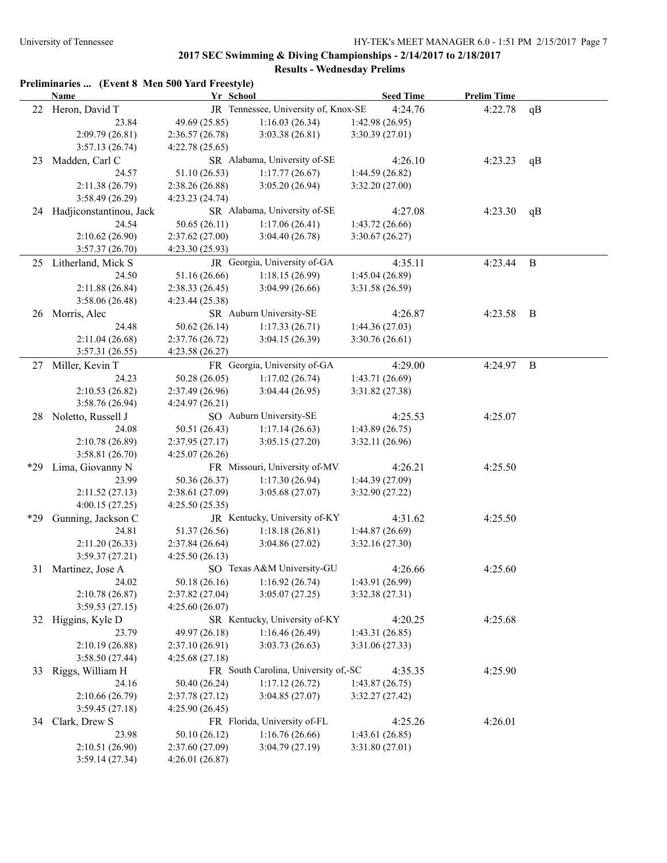|      | <b>Name</b>                | Yr School       |                                      | <b>Seed Time</b> | <b>Prelim Time</b> |              |
|------|----------------------------|-----------------|--------------------------------------|------------------|--------------------|--------------|
|      | 22 Heron, David T          |                 | JR Tennessee, University of, Knox-SE | 4:24.76          | 4:22.78            | qB           |
|      | 23.84                      | 49.69 (25.85)   | 1:16.03(26.34)                       | 1:42.98(26.95)   |                    |              |
|      | 2:09.79(26.81)             | 2:36.57(26.78)  | 3:03.38(26.81)                       | 3:30.39(27.01)   |                    |              |
|      | 3:57.13(26.74)             | 4:22.78(25.65)  |                                      |                  |                    |              |
| 23   | Madden, Carl C             |                 | SR Alabama, University of-SE         | 4:26.10          | 4:23.23            | qB           |
|      | 24.57                      | 51.10 (26.53)   | 1:17.77(26.67)                       | 1:44.59(26.82)   |                    |              |
|      | 2:11.38(26.79)             | 2:38.26(26.88)  | 3:05.20(26.94)                       | 3:32.20 (27.00)  |                    |              |
|      | 3:58.49(26.29)             | 4:23.23(24.74)  |                                      |                  |                    |              |
|      | 24 Hadjiconstantinou, Jack |                 | SR Alabama, University of-SE         | 4:27.08          | 4:23.30            | qB           |
|      | 24.54                      | 50.65(26.11)    | 1:17.06(26.41)                       | 1:43.72(26.66)   |                    |              |
|      | 2:10.62(26.90)             | 2:37.62(27.00)  | 3:04.40(26.78)                       | 3:30.67(26.27)   |                    |              |
|      | 3:57.37 (26.70)            | 4:23.30(25.93)  |                                      |                  |                    |              |
|      | 25 Litherland, Mick S      |                 | JR Georgia, University of-GA         | 4:35.11          | 4:23.44            | $\mathbf{B}$ |
|      | 24.50                      | 51.16 (26.66)   | 1:18.15(26.99)                       | 1:45.04 (26.89)  |                    |              |
|      | 2:11.88(26.84)             | 2:38.33(26.45)  | 3:04.99(26.66)                       | 3:31.58 (26.59)  |                    |              |
|      |                            |                 |                                      |                  |                    |              |
|      | 3:58.06(26.48)             | 4:23.44 (25.38) |                                      |                  |                    |              |
|      | 26 Morris, Alec            |                 | SR Auburn University-SE              | 4:26.87          | 4:23.58            | B            |
|      | 24.48                      | 50.62 (26.14)   | 1:17.33(26.71)                       | 1:44.36(27.03)   |                    |              |
|      | 2:11.04(26.68)             | 2:37.76(26.72)  | 3:04.15(26.39)                       | 3:30.76 (26.61)  |                    |              |
|      | 3:57.31(26.55)             | 4:23.58(26.27)  |                                      |                  |                    |              |
|      | 27 Miller, Kevin T         |                 | FR Georgia, University of-GA         | 4:29.00          | 4:24.97            | $\mathbf{B}$ |
|      | 24.23                      | 50.28 (26.05)   | 1:17.02(26.74)                       | 1:43.71 (26.69)  |                    |              |
|      | 2:10.53(26.82)             | 2:37.49(26.96)  | 3:04.44(26.95)                       | 3:31.82(27.38)   |                    |              |
|      | 3:58.76 (26.94)            | 4:24.97(26.21)  |                                      |                  |                    |              |
| 28   | Noletto, Russell J         |                 | SO Auburn University-SE              | 4:25.53          | 4:25.07            |              |
|      | 24.08                      | 50.51 (26.43)   | 1:17.14(26.63)                       | 1:43.89(26.75)   |                    |              |
|      | 2:10.78 (26.89)            | 2:37.95(27.17)  | 3:05.15(27.20)                       | 3:32.11(26.96)   |                    |              |
|      | 3:58.81(26.70)             | 4:25.07(26.26)  |                                      |                  |                    |              |
| *29. | Lima, Giovanny N           |                 | FR Missouri, University of-MV        | 4:26.21          | 4:25.50            |              |
|      | 23.99                      | 50.36 (26.37)   | 1:17.30(26.94)                       | 1:44.39(27.09)   |                    |              |
|      | 2:11.52(27.13)             | 2:38.61 (27.09) | 3:05.68(27.07)                       | 3:32.90 (27.22)  |                    |              |
|      | 4:00.15(27.25)             | 4:25.50(25.35)  |                                      |                  |                    |              |
| *29  | Gunning, Jackson C         |                 | JR Kentucky, University of-KY        | 4:31.62          | 4:25.50            |              |
|      | 24.81                      | 51.37 (26.56)   | 1:18.18(26.81)                       | 1:44.87(26.69)   |                    |              |
|      | 2:11.20(26.33)             | 2:37.84 (26.64) | 3:04.86(27.02)                       | 3:32.16(27.30)   |                    |              |
|      | 3:59.37(27.21)             | 4:25.50(26.13)  |                                      |                  |                    |              |
|      | 31 Martinez, Jose A        |                 | SO Texas A&M University-GU           | 4:26.66          | 4:25.60            |              |
|      | 24.02                      | 50.18 (26.16)   | 1:16.92(26.74)                       | 1:43.91(26.99)   |                    |              |
|      | 2:10.78(26.87)             | 2:37.82 (27.04) | 3:05.07(27.25)                       | 3:32.38(27.31)   |                    |              |
|      | 3:59.53(27.15)             | 4:25.60(26.07)  |                                      |                  |                    |              |
|      | 32 Higgins, Kyle D         |                 | SR Kentucky, University of-KY        | 4:20.25          | 4:25.68            |              |
|      | 23.79                      | 49.97 (26.18)   | 1:16.46(26.49)                       | 1:43.31(26.85)   |                    |              |
|      | 2:10.19 (26.88)            | 2:37.10 (26.91) | 3:03.73(26.63)                       | 3:31.06(27.33)   |                    |              |
|      | 3:58.50(27.44)             | 4:25.68(27.18)  |                                      |                  |                    |              |
| 33   | Riggs, William H           |                 | FR South Carolina, University of,-SC | 4:35.35          | 4:25.90            |              |
|      | 24.16                      | 50.40 (26.24)   | 1:17.12(26.72)                       | 1:43.87(26.75)   |                    |              |
|      | 2:10.66(26.79)             | 2:37.78(27.12)  | 3:04.85(27.07)                       | 3:32.27(27.42)   |                    |              |
|      | 3:59.45(27.18)             | 4:25.90(26.45)  |                                      |                  |                    |              |
| 34   | Clark, Drew S              |                 | FR Florida, University of-FL         | 4:25.26          | 4:26.01            |              |
|      |                            |                 |                                      |                  |                    |              |
|      | 23.98                      | 50.10 (26.12)   | 1:16.76(26.66)                       | 1:43.61(26.85)   |                    |              |
|      | 2:10.51 (26.90)            | 2:37.60 (27.09) | 3:04.79(27.19)                       | 3:31.80(27.01)   |                    |              |
|      | 3:59.14(27.34)             | 4:26.01(26.87)  |                                      |                  |                    |              |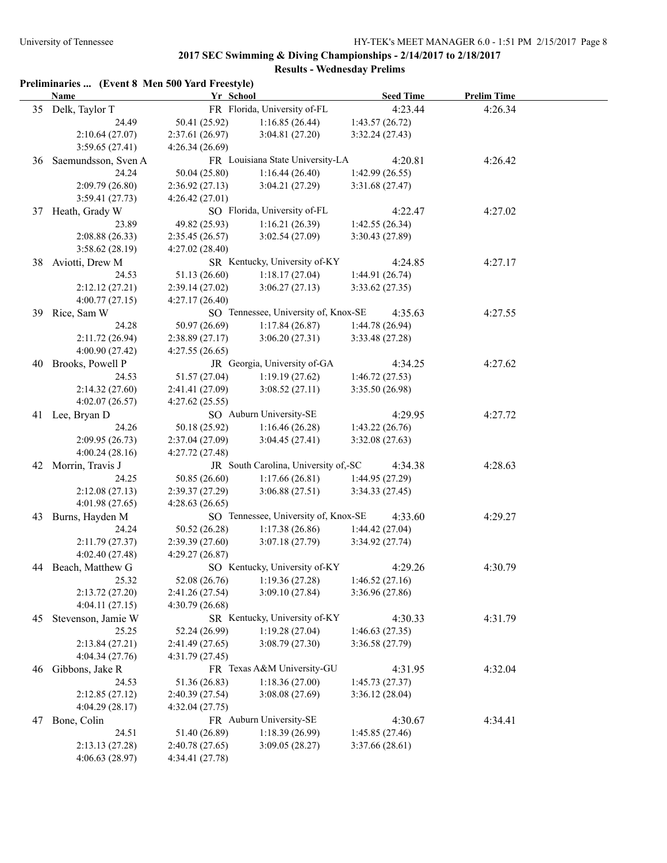# **2017 SEC Swimming & Diving Championships - 2/14/2017 to 2/18/2017**

# **Results - Wednesday Prelims**

|    | Preliminaries  (Event 8 Men 500 Yard Freestyle)<br><b>Name</b> | Yr School       |                                      | <b>Seed Time</b> | <b>Prelim Time</b> |  |
|----|----------------------------------------------------------------|-----------------|--------------------------------------|------------------|--------------------|--|
|    | 35 Delk, Taylor T                                              |                 | FR Florida, University of-FL         | 4:23.44          | 4:26.34            |  |
|    | 24.49                                                          | 50.41 (25.92)   | 1:16.85(26.44)                       | 1:43.57(26.72)   |                    |  |
|    | 2:10.64(27.07)                                                 | 2:37.61(26.97)  | 3:04.81(27.20)                       | 3:32.24(27.43)   |                    |  |
|    | 3:59.65(27.41)                                                 | 4:26.34(26.69)  |                                      |                  |                    |  |
|    | 36 Saemundsson, Sven A                                         |                 | FR Louisiana State University-LA     | 4:20.81          | 4:26.42            |  |
|    | 24.24                                                          | 50.04 (25.80)   | 1:16.44(26.40)                       | 1:42.99(26.55)   |                    |  |
|    | 2:09.79(26.80)                                                 | 2:36.92(27.13)  | 3:04.21(27.29)                       | 3:31.68 (27.47)  |                    |  |
|    | 3:59.41(27.73)                                                 | 4:26.42(27.01)  |                                      |                  |                    |  |
|    | 37 Heath, Grady W                                              |                 | SO Florida, University of-FL         | 4:22.47          | 4:27.02            |  |
|    | 23.89                                                          | 49.82 (25.93)   | 1:16.21(26.39)                       | 1:42.55(26.34)   |                    |  |
|    | 2:08.88(26.33)                                                 | 2:35.45(26.57)  | 3:02.54(27.09)                       | 3:30.43 (27.89)  |                    |  |
|    | 3:58.62(28.19)                                                 | 4:27.02(28.40)  |                                      |                  |                    |  |
|    | 38 Aviotti, Drew M                                             |                 | SR Kentucky, University of-KY        | 4:24.85          | 4:27.17            |  |
|    | 24.53                                                          | 51.13 (26.60)   | 1:18.17(27.04)                       | 1:44.91 (26.74)  |                    |  |
|    | 2:12.12(27.21)                                                 | 2:39.14(27.02)  | 3:06.27(27.13)                       | 3:33.62(27.35)   |                    |  |
|    | 4:00.77(27.15)                                                 | 4:27.17(26.40)  |                                      |                  |                    |  |
|    | 39 Rice, Sam W                                                 |                 | SO Tennessee, University of, Knox-SE | 4:35.63          | 4:27.55            |  |
|    | 24.28                                                          | 50.97 (26.69)   | 1:17.84(26.87)                       | 1:44.78 (26.94)  |                    |  |
|    | 2:11.72(26.94)                                                 | 2:38.89(27.17)  | 3:06.20(27.31)                       | 3:33.48 (27.28)  |                    |  |
|    | 4:00.90 (27.42)                                                | 4:27.55(26.65)  |                                      |                  |                    |  |
|    | 40 Brooks, Powell P                                            |                 | JR Georgia, University of-GA         | 4:34.25          | 4:27.62            |  |
|    | 24.53                                                          | 51.57 (27.04)   | 1:19.19(27.62)                       | 1:46.72(27.53)   |                    |  |
|    | 2:14.32(27.60)                                                 | 2:41.41 (27.09) | 3:08.52(27.11)                       | 3:35.50 (26.98)  |                    |  |
|    | 4:02.07(26.57)                                                 | 4:27.62(25.55)  |                                      |                  |                    |  |
|    | 41 Lee, Bryan D                                                |                 | SO Auburn University-SE              | 4:29.95          | 4:27.72            |  |
|    | 24.26                                                          | 50.18 (25.92)   | 1:16.46(26.28)                       | 1:43.22(26.76)   |                    |  |
|    | 2:09.95(26.73)                                                 | 2:37.04(27.09)  | 3:04.45(27.41)                       | 3:32.08(27.63)   |                    |  |
|    | 4:00.24(28.16)                                                 | 4:27.72 (27.48) |                                      |                  |                    |  |
|    | 42 Morrin, Travis J                                            |                 | JR South Carolina, University of,-SC | 4:34.38          | 4:28.63            |  |
|    | 24.25                                                          | 50.85 (26.60)   | 1:17.66(26.81)                       | 1:44.95 (27.29)  |                    |  |
|    | 2:12.08(27.13)                                                 | 2:39.37(27.29)  | 3:06.88(27.51)                       | 3:34.33(27.45)   |                    |  |
|    | 4:01.98(27.65)                                                 | 4:28.63(26.65)  |                                      |                  |                    |  |
| 43 | Burns, Hayden M                                                |                 | SO Tennessee, University of, Knox-SE | 4:33.60          | 4:29.27            |  |
|    | 24.24                                                          | 50.52 (26.28)   | 1:17.38(26.86)                       | 1:44.42(27.04)   |                    |  |
|    | 2:11.79(27.37)                                                 | 2:39.39(27.60)  | 3:07.18(27.79)                       | 3:34.92 (27.74)  |                    |  |
|    | 4:02.40(27.48)                                                 | 4:29.27(26.87)  |                                      |                  |                    |  |
| 44 | Beach, Matthew G                                               |                 | SO Kentucky, University of-KY        | 4:29.26          | 4:30.79            |  |
|    | 25.32                                                          | 52.08 (26.76)   | 1:19.36(27.28)                       | 1:46.52(27.16)   |                    |  |
|    | 2:13.72(27.20)                                                 | 2:41.26 (27.54) | 3:09.10(27.84)                       | 3:36.96 (27.86)  |                    |  |
|    | 4:04.11(27.15)                                                 | 4:30.79(26.68)  |                                      |                  |                    |  |
| 45 | Stevenson, Jamie W                                             |                 | SR Kentucky, University of-KY        | 4:30.33          | 4:31.79            |  |
|    | 25.25                                                          | 52.24 (26.99)   | 1:19.28(27.04)                       | 1:46.63(27.35)   |                    |  |
|    | 2:13.84(27.21)                                                 | 2:41.49 (27.65) | 3:08.79(27.30)                       | 3:36.58 (27.79)  |                    |  |
|    | 4:04.34(27.76)                                                 | 4:31.79(27.45)  |                                      |                  |                    |  |
| 46 | Gibbons, Jake R                                                |                 | FR Texas A&M University-GU           | 4:31.95          | 4:32.04            |  |
|    | 24.53                                                          | 51.36 (26.83)   | 1:18.36(27.00)                       | 1:45.73(27.37)   |                    |  |
|    | 2:12.85(27.12)                                                 | 2:40.39 (27.54) | 3:08.08(27.69)                       | 3:36.12(28.04)   |                    |  |
|    | 4:04.29(28.17)                                                 | 4:32.04(27.75)  |                                      |                  |                    |  |
| 47 | Bone, Colin                                                    |                 | FR Auburn University-SE              | 4:30.67          | 4:34.41            |  |
|    | 24.51                                                          | 51.40 (26.89)   | 1:18.39(26.99)                       | 1:45.85 (27.46)  |                    |  |
|    | 2:13.13(27.28)                                                 | 2:40.78 (27.65) | 3:09.05(28.27)                       | 3:37.66(28.61)   |                    |  |
|    | 4:06.63(28.97)                                                 | 4:34.41 (27.78) |                                      |                  |                    |  |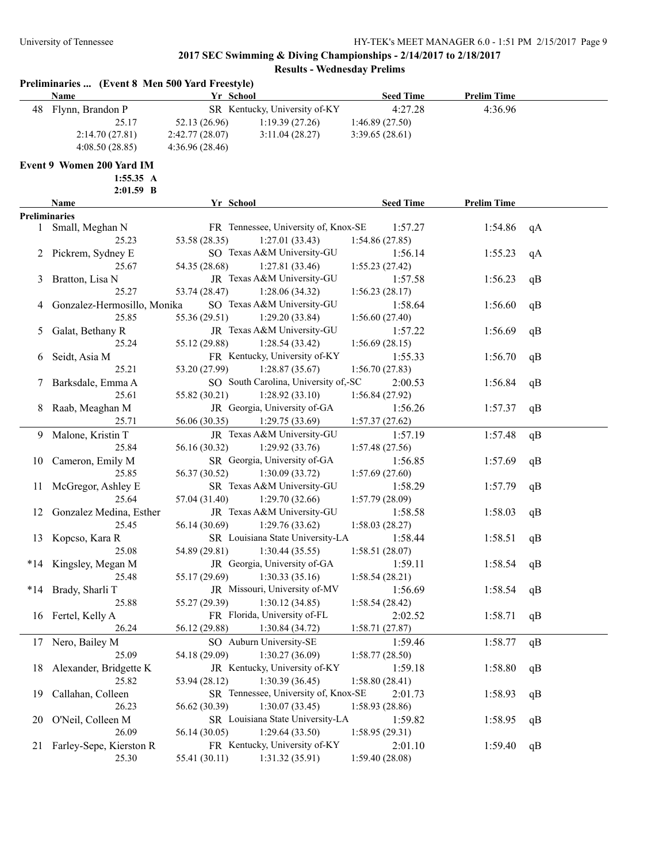|     | Name                                   | Yr School      |                                                    | <b>Seed Time</b> | <b>Prelim Time</b> |    |
|-----|----------------------------------------|----------------|----------------------------------------------------|------------------|--------------------|----|
|     | 48 Flynn, Brandon P                    |                | SR Kentucky, University of-KY                      | 4:27.28          | 4:36.96            |    |
|     | 25.17                                  | 52.13 (26.96)  | 1:19.39(27.26)                                     | 1:46.89(27.50)   |                    |    |
|     | 2:14.70(27.81)                         | 2:42.77(28.07) | 3:11.04(28.27)                                     | 3:39.65(28.61)   |                    |    |
|     | 4:08.50(28.85)                         | 4:36.96(28.46) |                                                    |                  |                    |    |
|     | Event 9 Women 200 Yard IM<br>1:55.35 A |                |                                                    |                  |                    |    |
|     | $2:01.59$ B                            |                |                                                    |                  |                    |    |
|     | Name                                   | Yr School      |                                                    | <b>Seed Time</b> | <b>Prelim Time</b> |    |
|     | <b>Preliminaries</b>                   |                |                                                    |                  |                    |    |
|     | 1 Small, Meghan N                      |                | FR Tennessee, University of, Knox-SE               | 1:57.27          | 1:54.86            | qA |
|     | 25.23                                  | 53.58 (28.35)  | 1:27.01(33.43)                                     | 1:54.86(27.85)   |                    |    |
|     | 2 Pickrem, Sydney E                    |                | SO Texas A&M University-GU                         | 1:56.14          | 1:55.23            | qA |
|     | 25.67                                  | 54.35 (28.68)  | 1:27.81(33.46)                                     | 1:55.23(27.42)   |                    |    |
| 3   | Bratton, Lisa N                        |                | JR Texas A&M University-GU                         | 1:57.58          | 1:56.23            | qB |
|     | 25.27                                  | 53.74 (28.47)  | 1:28.06(34.32)                                     | 1:56.23(28.17)   |                    |    |
| 4   | Gonzalez-Hermosillo, Monika            |                | SO Texas A&M University-GU                         | 1:58.64          | 1:56.60            | qB |
|     | 25.85                                  | 55.36 (29.51)  | 1:29.20(33.84)                                     | 1:56.60(27.40)   |                    |    |
| 5   | Galat, Bethany R                       |                | JR Texas A&M University-GU                         | 1:57.22          | 1:56.69            | qB |
|     | 25.24                                  | 55.12 (29.88)  | 1:28.54(33.42)                                     | 1:56.69(28.15)   |                    |    |
| 6   | Seidt, Asia M                          |                | FR Kentucky, University of-KY                      | 1:55.33          | 1:56.70            | qB |
|     | 25.21                                  | 53.20 (27.99)  | 1:28.87(35.67)                                     | 1:56.70(27.83)   |                    |    |
| 7   | Barksdale, Emma A                      |                | SO South Carolina, University of,-SC               | 2:00.53          | 1:56.84            | qB |
|     | 25.61                                  | 55.82 (30.21)  | 1:28.92(33.10)                                     | 1:56.84(27.92)   |                    |    |
| 8   | Raab, Meaghan M                        |                | JR Georgia, University of-GA                       | 1:56.26          | 1:57.37            | qB |
|     | 25.71                                  | 56.06 (30.35)  | 1:29.75(33.69)                                     | 1:57.37(27.62)   |                    |    |
| 9   | Malone, Kristin T                      |                | JR Texas A&M University-GU                         | 1:57.19          | 1:57.48            | qB |
|     | 25.84                                  | 56.16 (30.32)  | 1:29.92(33.76)                                     | 1:57.48(27.56)   |                    |    |
| 10  | Cameron, Emily M                       |                | SR Georgia, University of-GA                       | 1:56.85          | 1:57.69            | qB |
|     | 25.85                                  | 56.37 (30.52)  | 1:30.09(33.72)                                     | 1:57.69(27.60)   |                    |    |
|     | McGregor, Ashley E                     |                | SR Texas A&M University-GU                         | 1:58.29          | 1:57.79            |    |
| 11  | 25.64                                  | 57.04 (31.40)  | 1:29.70(32.66)                                     |                  |                    | qB |
|     | Gonzalez Medina, Esther                |                | JR Texas A&M University-GU                         | 1:57.79(28.09)   |                    |    |
| 12  | 25.45                                  |                |                                                    | 1:58.58          | 1:58.03            | qB |
|     |                                        | 56.14 (30.69)  | 1:29.76(33.62)                                     | 1:58.03(28.27)   |                    |    |
| 13  | Kopcso, Kara R<br>25.08                |                | SR Louisiana State University-LA<br>1:30.44(35.55) | 1:58.44          | 1:58.51            | qB |
|     |                                        | 54.89 (29.81)  |                                                    | 1:58.51 (28.07)  |                    |    |
|     | *14 Kingsley, Megan M                  |                | JR Georgia, University of-GA                       | 1:59.11          | 1:58.54            | qB |
|     | 25.48                                  | 55.17 (29.69)  | 1:30.33(35.16)                                     | 1:58.54(28.21)   |                    |    |
| *14 | Brady, Sharli T                        |                | JR Missouri, University of-MV                      | 1:56.69          | 1:58.54            | qB |
|     | 25.88                                  | 55.27 (29.39)  | 1:30.12(34.85)                                     | 1:58.54(28.42)   |                    |    |
|     | 16 Fertel, Kelly A                     |                | FR Florida, University of-FL                       | 2:02.52          | 1:58.71            | qB |
|     | 26.24                                  | 56.12 (29.88)  | 1:30.84 (34.72)                                    | 1:58.71(27.87)   |                    |    |
| 17  | Nero, Bailey M                         |                | SO Auburn University-SE                            | 1:59.46          | 1:58.77            | qB |
|     | 25.09                                  | 54.18 (29.09)  | 1:30.27 (36.09)                                    | 1:58.77 (28.50)  |                    |    |
| 18  | Alexander, Bridgette K                 |                | JR Kentucky, University of-KY                      | 1:59.18          | 1:58.80            | qB |
|     | 25.82                                  | 53.94 (28.12)  | 1:30.39(36.45)                                     | 1:58.80 (28.41)  |                    |    |
| 19  | Callahan, Colleen                      |                | SR Tennessee, University of, Knox-SE               | 2:01.73          | 1:58.93            | qB |
|     | 26.23                                  | 56.62 (30.39)  | 1:30.07(33.45)                                     | 1:58.93(28.86)   |                    |    |
| 20  | O'Neil, Colleen M                      |                | SR Louisiana State University-LA                   | 1:59.82          | 1:58.95            | qB |
|     | 26.09                                  | 56.14 (30.05)  | 1:29.64(33.50)                                     | 1:58.95(29.31)   |                    |    |
| 21  | Farley-Sepe, Kierston R                |                | FR Kentucky, University of-KY                      | 2:01.10          | 1:59.40            | qB |
|     | 25.30                                  | 55.41 (30.11)  | 1:31.32(35.91)                                     | 1:59.40 (28.08)  |                    |    |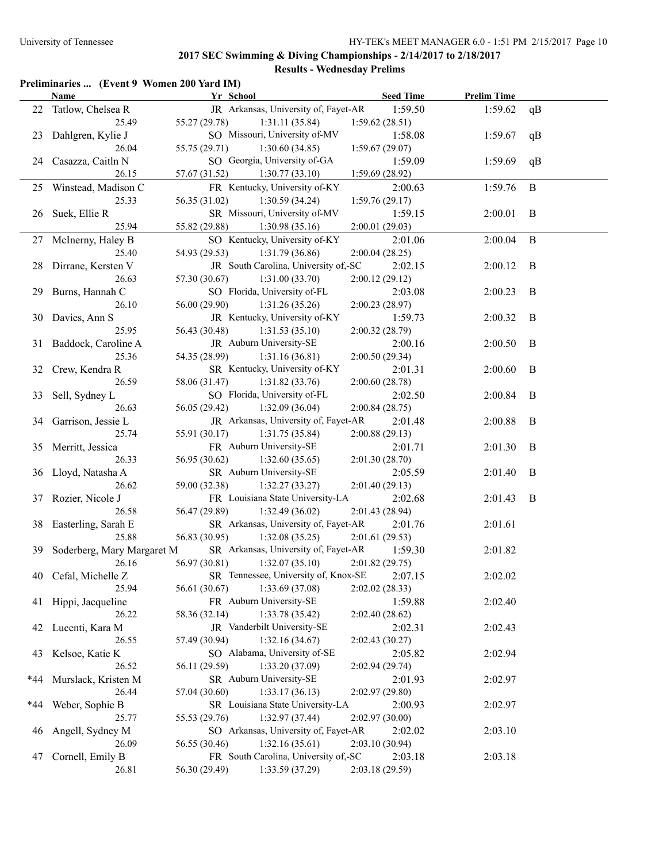### **Preliminaries ... (Event 9 Women 200 Yard IM)**

|     | <b>Name</b>                   | Yr School                                         | <b>Seed Time</b>          | <b>Prelim Time</b> |    |
|-----|-------------------------------|---------------------------------------------------|---------------------------|--------------------|----|
|     | 22 Tatlow, Chelsea R          | JR Arkansas, University of, Fayet-AR              | 1:59.50                   | 1:59.62            | qB |
|     | 25.49                         | 55.27 (29.78)<br>1:31.11(35.84)                   | 1:59.62(28.51)            |                    |    |
| 23  | Dahlgren, Kylie J             | SO Missouri, University of-MV                     | 1:58.08                   | 1:59.67            | qB |
|     | 26.04                         | 55.75 (29.71)<br>1:30.60(34.85)                   | 1:59.67(29.07)            |                    |    |
| 24  | Casazza, Caitln N             | SO Georgia, University of-GA                      | 1:59.09                   | 1:59.69            | qB |
|     | 26.15                         | 57.67 (31.52)<br>1:30.77(33.10)                   | 1:59.69(28.92)            |                    |    |
|     | 25 Winstead, Madison C        | FR Kentucky, University of-KY                     | 2:00.63                   | 1:59.76            | B  |
|     | 25.33                         | 56.35 (31.02)<br>1:30.59(34.24)                   | 1:59.76(29.17)            |                    |    |
|     | 26 Suek, Ellie R              | SR Missouri, University of-MV                     | 1:59.15                   | 2:00.01            | B  |
|     | 25.94                         | 55.82 (29.88)<br>1:30.98(35.16)                   | 2:00.01(29.03)            |                    |    |
|     | 27 McInerny, Haley B          | SO Kentucky, University of-KY                     | 2:01.06                   | 2:00.04            | B  |
|     | 25.40                         | 54.93 (29.53)<br>1:31.79(36.86)                   | 2:00.04(28.25)            |                    |    |
|     | 28 Dirrane, Kersten V         | JR South Carolina, University of,-SC              | 2:02.15                   | 2:00.12            | B  |
|     | 26.63                         | 57.30 (30.67)<br>1:31.00(33.70)                   | 2:00.12(29.12)            |                    |    |
|     | 29 Burns, Hannah C            | SO Florida, University of-FL                      | 2:03.08                   | 2:00.23            | B  |
|     | 26.10                         | 56.00 (29.90)<br>1:31.26(35.26)                   | 2:00.23(28.97)            |                    |    |
|     | 30 Davies, Ann S              | JR Kentucky, University of-KY                     | 1:59.73                   | 2:00.32            | B  |
|     | 25.95                         | 56.43 (30.48)<br>1:31.53(35.10)                   | 2:00.32(28.79)            |                    |    |
| 31  | Baddock, Caroline A           | JR Auburn University-SE                           | 2:00.16                   | 2:00.50            | B  |
|     | 25.36                         | 54.35 (28.99)<br>1:31.16(36.81)                   | 2:00.50(29.34)            |                    |    |
| 32  | Crew, Kendra R                | SR Kentucky, University of-KY                     | 2:01.31                   | 2:00.60            | B  |
|     | 26.59                         | 58.06 (31.47)<br>1:31.82(33.76)                   | 2:00.60(28.78)            |                    |    |
| 33  | Sell, Sydney L                | SO Florida, University of-FL                      | 2:02.50                   | 2:00.84            | B  |
|     | 26.63                         | 56.05 (29.42)<br>1:32.09(36.04)                   | 2:00.84(28.75)            |                    |    |
| 34  | Garrison, Jessie L            | JR Arkansas, University of, Fayet-AR              | 2:01.48                   | 2:00.88            | B  |
|     | 25.74                         | 55.91 (30.17)<br>1:31.75(35.84)                   | 2:00.88(29.13)            |                    |    |
|     | 35 Merritt, Jessica           | FR Auburn University-SE                           | 2:01.71                   | 2:01.30            | B  |
|     | 26.33                         | 56.95 (30.62)<br>1:32.60(35.65)                   | 2:01.30(28.70)            |                    |    |
|     | 36 Lloyd, Natasha A           | SR Auburn University-SE                           | 2:05.59                   | 2:01.40            | B  |
|     | 26.62                         | 59.00 (32.38)<br>1:32.27(33.27)                   | 2:01.40(29.13)            |                    |    |
|     | 37 Rozier, Nicole J           | FR Louisiana State University-LA                  | 2:02.68                   | 2:01.43            | B  |
|     | 26.58                         | 56.47 (29.89)<br>1:32.49(36.02)                   | 2:01.43 (28.94)           |                    |    |
|     | 38 Easterling, Sarah E        | SR Arkansas, University of, Fayet-AR              | 2:01.76                   | 2:01.61            |    |
|     | 25.88                         | 56.83 (30.95)<br>1:32.08(35.25)                   | 2:01.61 (29.53)           |                    |    |
|     | 39 Soderberg, Mary Margaret M | SR Arkansas, University of, Fayet-AR              | 1:59.30                   | 2:01.82            |    |
|     | 26.16                         | 56.97 (30.81)<br>1:32.07(35.10)                   | 2:01.82(29.75)            |                    |    |
|     | 40 Cefal, Michelle Z          | SR Tennessee, University of, Knox-SE 2:07.15      |                           | 2:02.02            |    |
|     | 25.94                         | 1:33.69 (37.08)<br>56.61 (30.67)                  | 2:02.02(28.33)            |                    |    |
|     | 41 Hippi, Jacqueline          | FR Auburn University-SE                           | 1:59.88                   | 2:02.40            |    |
|     | 26.22                         | 1:33.78(35.42)<br>58.36 (32.14)                   | 2:02.40(28.62)            |                    |    |
|     | 42 Lucenti, Kara M            | JR Vanderbilt University-SE                       | 2:02.31                   | 2:02.43            |    |
|     | 26.55                         | 1:32.16(34.67)<br>57.49 (30.94)                   | 2:02.43 (30.27)           |                    |    |
| 43  | Kelsoe, Katie K               | SO Alabama, University of-SE                      | 2:05.82                   | 2:02.94            |    |
|     | 26.52                         | 56.11 (29.59)<br>1:33.20(37.09)                   | 2:02.94(29.74)            |                    |    |
| *44 | Murslack, Kristen M           | SR Auburn University-SE<br>1:33.17(36.13)         | 2:01.93                   | 2:02.97            |    |
|     | 26.44                         | 57.04 (30.60)<br>SR Louisiana State University-LA | 2:02.97 (29.80)           |                    |    |
| *44 | Weber, Sophie B<br>25.77      | 1:32.97(37.44)<br>55.53 (29.76)                   | 2:00.93                   | 2:02.97            |    |
|     |                               | SO Arkansas, University of, Fayet-AR              | 2:02.97(30.00)            | 2:03.10            |    |
| 46  | Angell, Sydney M<br>26.09     | 1:32.16(35.61)<br>56.55 (30.46)                   | 2:02.02<br>2:03.10(30.94) |                    |    |
| 47  | Cornell, Emily B              | FR South Carolina, University of,-SC              | 2:03.18                   | 2:03.18            |    |
|     | 26.81                         | 1:33.59 (37.29)<br>56.30 (29.49)                  | 2:03.18(29.59)            |                    |    |
|     |                               |                                                   |                           |                    |    |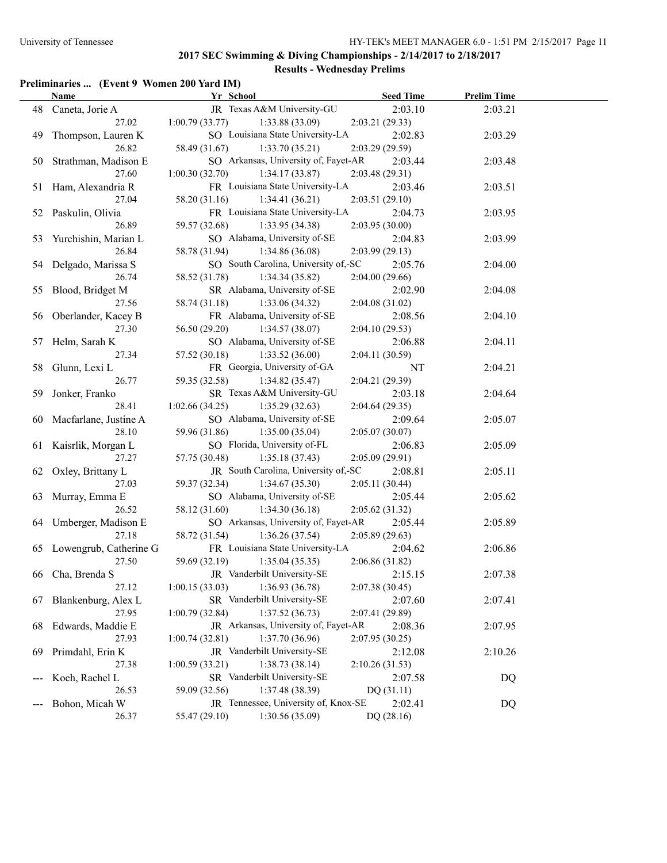# **Preliminaries ... (Event 9 Women 200 Yard IM)**

|    | <b>Name</b>                       | Yr School                                                        | <b>Seed Time</b>          | <b>Prelim Time</b> |  |
|----|-----------------------------------|------------------------------------------------------------------|---------------------------|--------------------|--|
|    | 48 Caneta, Jorie A                | JR Texas A&M University-GU                                       | 2:03.10                   | 2:03.21            |  |
|    | 27.02                             | 1:00.79(33.77)<br>1:33.88(33.09)                                 | 2:03.21(29.33)            |                    |  |
|    | 49 Thompson, Lauren K             | SO Louisiana State University-LA                                 | 2:02.83                   | 2:03.29            |  |
|    | 26.82                             | 58.49 (31.67)<br>1:33.70(35.21)                                  | 2:03.29 (29.59)           |                    |  |
|    | 50 Strathman, Madison E           | SO Arkansas, University of, Fayet-AR                             | 2:03.44                   | 2:03.48            |  |
|    | 27.60                             | 1:00.30(32.70)<br>1:34.17(33.87)                                 | 2:03.48(29.31)            |                    |  |
|    | 51 Ham, Alexandria R              | FR Louisiana State University-LA                                 | 2:03.46                   | 2:03.51            |  |
|    | 27.04                             | 58.20 (31.16)<br>1:34.41(36.21)                                  | 2:03.51 (29.10)           |                    |  |
|    | 52 Paskulin, Olivia               | FR Louisiana State University-LA                                 | 2:04.73                   | 2:03.95            |  |
|    | 26.89                             | 59.57 (32.68) 1:33.95 (34.38)                                    | 2:03.95(30.00)            |                    |  |
|    | 53 Yurchishin, Marian L           | SO Alabama, University of-SE                                     | 2:04.83                   | 2:03.99            |  |
|    | 26.84                             | 58.78 (31.94)<br>1:34.86(36.08)                                  | 2:03.99(29.13)            |                    |  |
|    | 54 Delgado, Marissa S             | SO South Carolina, University of,-SC                             | 2:05.76                   | 2:04.00            |  |
|    | 26.74                             | 58.52 (31.78) 1:34.34 (35.82)                                    | 2:04.00 (29.66)           |                    |  |
|    | 55 Blood, Bridget M               | SR Alabama, University of-SE                                     | 2:02.90                   | 2:04.08            |  |
|    | 27.56                             | 58.74 (31.18) 1:33.06 (34.32)                                    | 2:04.08(31.02)            |                    |  |
|    | 56 Oberlander, Kacey B            | FR Alabama, University of-SE                                     | 2:08.56                   | 2:04.10            |  |
|    | 27.30                             | 56.50 (29.20)<br>1:34.57(38.07)                                  | 2:04.10(29.53)            |                    |  |
|    | 57 Helm, Sarah K                  | SO Alabama, University of-SE                                     | 2:06.88                   | 2:04.11            |  |
|    | 27.34                             | 57.52 (30.18)<br>1:33.52(36.00)                                  | 2:04.11(30.59)            |                    |  |
|    | 58 Glunn, Lexi L                  | FR Georgia, University of-GA                                     | NT                        | 2:04.21            |  |
|    | 26.77                             | 59.35 (32.58)<br>1:34.82(35.47)                                  | 2:04.21(29.39)            |                    |  |
|    | 59 Jonker, Franko                 | SR Texas A&M University-GU                                       | 2:03.18                   | 2:04.64            |  |
|    | 28.41                             | 1:02.66(34.25)<br>1:35.29(32.63)<br>SO Alabama, University of-SE | 2:04.64(29.35)            |                    |  |
|    | 60 Macfarlane, Justine A<br>28.10 |                                                                  | 2:09.64                   | 2:05.07            |  |
|    |                                   | 59.96 (31.86)<br>1:35.00(35.04)<br>SO Florida, University of-FL  | 2:05.07(30.07)            |                    |  |
|    | 61 Kaisrlik, Morgan L<br>27.27    | 57.75 (30.48)<br>1:35.18(37.43)                                  | 2:06.83<br>2:05.09(29.91) | 2:05.09            |  |
|    | 62 Oxley, Brittany L              | JR South Carolina, University of,-SC                             | 2:08.81                   | 2:05.11            |  |
|    | 27.03                             | 1:34.67(35.30)<br>59.37 (32.34)                                  | 2:05.11 (30.44)           |                    |  |
|    | 63 Murray, Emma E                 | SO Alabama, University of-SE                                     | 2:05.44                   | 2:05.62            |  |
|    | 26.52                             | 58.12 (31.60)<br>1:34.30(36.18)                                  | 2:05.62(31.32)            |                    |  |
|    | 64 Umberger, Madison E            | SO Arkansas, University of, Fayet-AR                             | 2:05.44                   | 2:05.89            |  |
|    | 27.18                             | 58.72 (31.54)<br>1:36.26(37.54)                                  | 2:05.89(29.63)            |                    |  |
|    | 65 Lowengrub, Catherine G         | FR Louisiana State University-LA                                 | 2:04.62                   | 2:06.86            |  |
|    | 27.50                             | 59.69 (32.19)<br>1:35.04(35.35)                                  | 2:06.86 (31.82)           |                    |  |
|    | 66 Cha, Brenda S                  | JR Vanderbilt University-SE                                      | 2:15.15                   | 2:07.38            |  |
|    | 27.12                             | 1:36.93 (36.78)<br>1:00.15(33.03)                                | 2:07.38(30.45)            |                    |  |
|    | 67 Blankenburg, Alex L            | SR Vanderbilt University-SE                                      | 2:07.60                   | 2:07.41            |  |
|    | 27.95                             | 1:37.52(36.73)<br>1:00.79(32.84)                                 | 2:07.41 (29.89)           |                    |  |
| 68 | Edwards, Maddie E                 | JR Arkansas, University of, Fayet-AR                             | 2:08.36                   | 2:07.95            |  |
|    | 27.93                             | 1:00.74(32.81)<br>1:37.70(36.96)                                 | 2:07.95 (30.25)           |                    |  |
| 69 | Primdahl, Erin K                  | JR Vanderbilt University-SE                                      | 2:12.08                   | 2:10.26            |  |
|    | 27.38                             | 1:38.73(38.14)<br>1:00.59(33.21)                                 | 2:10.26(31.53)            |                    |  |
|    | Koch, Rachel L                    | SR Vanderbilt University-SE                                      | 2:07.58                   | DQ                 |  |
|    | 26.53                             | 1:37.48 (38.39)<br>59.09 (32.56)                                 | DQ (31.11)                |                    |  |
|    | Bohon, Micah W                    | JR Tennessee, University of, Knox-SE                             | 2:02.41                   | DQ                 |  |
|    | 26.37                             | 1:30.56 (35.09)<br>55.47 (29.10)                                 | DQ (28.16)                |                    |  |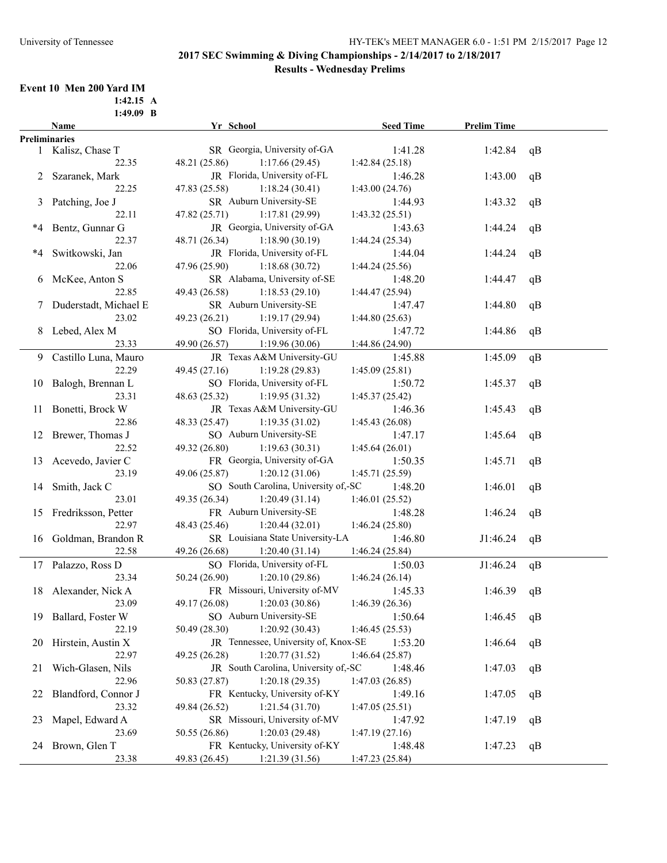#### **Event 10 Men 200 Yard IM**

|    | $1:49.09$ B             |                                      |                  |                    |    |
|----|-------------------------|--------------------------------------|------------------|--------------------|----|
|    | <b>Name</b>             | Yr School                            | <b>Seed Time</b> | <b>Prelim Time</b> |    |
|    | <b>Preliminaries</b>    |                                      |                  |                    |    |
|    | 1 Kalisz, Chase T       | SR Georgia, University of-GA         | 1:41.28          | 1:42.84            | qB |
|    | 22.35                   | 1:17.66(29.45)<br>48.21 (25.86)      | 1:42.84(25.18)   |                    |    |
| 2  | Szaranek, Mark          | JR Florida, University of-FL         | 1:46.28          | 1:43.00            | qB |
|    | 22.25                   | 47.83 (25.58)<br>1:18.24(30.41)      | 1:43.00(24.76)   |                    |    |
|    | 3 Patching, Joe J       | SR Auburn University-SE              | 1:44.93          | 1:43.32            | qB |
|    | 22.11                   | 47.82 (25.71)<br>1:17.81(29.99)      | 1:43.32(25.51)   |                    |    |
| *4 | Bentz, Gunnar G         | JR Georgia, University of-GA         | 1:43.63          | 1:44.24            | qB |
|    | 22.37                   | 48.71 (26.34)<br>1:18.90(30.19)      | 1:44.24(25.34)   |                    |    |
| *4 | Switkowski, Jan         | JR Florida, University of-FL         | 1:44.04          | 1:44.24            | qB |
|    | 22.06                   | 47.96 (25.90)<br>1:18.68(30.72)      | 1:44.24(25.56)   |                    |    |
|    | 6 McKee, Anton S        | SR Alabama, University of-SE         | 1:48.20          | 1:44.47            | qB |
|    | 22.85                   | 49.43 (26.58)<br>1:18.53(29.10)      | 1:44.47(25.94)   |                    |    |
|    | 7 Duderstadt, Michael E | SR Auburn University-SE              | 1:47.47          | 1:44.80            | qB |
|    | 23.02                   | 49.23 (26.21)<br>1:19.17(29.94)      | 1:44.80(25.63)   |                    |    |
|    | 8 Lebed, Alex M         | SO Florida, University of-FL         | 1:47.72          | 1:44.86            | qB |
|    | 23.33                   | 49.90 (26.57)<br>1:19.96(30.06)      | 1:44.86 (24.90)  |                    |    |
|    | 9 Castillo Luna, Mauro  | JR Texas A&M University-GU           | 1:45.88          | 1:45.09            | qB |
|    | 22.29                   | 49.45 (27.16)<br>1:19.28(29.83)      | 1:45.09(25.81)   |                    |    |
|    | 10 Balogh, Brennan L    | SO Florida, University of-FL         | 1:50.72          | 1:45.37            | qB |
|    | 23.31                   | 48.63 (25.32)<br>1:19.95(31.32)      | 1:45.37(25.42)   |                    |    |
|    | 11 Bonetti, Brock W     | JR Texas A&M University-GU           | 1:46.36          | 1:45.43            | qB |
|    | 22.86                   | 48.33 (25.47)<br>1:19.35(31.02)      | 1:45.43(26.08)   |                    |    |
|    | 12 Brewer, Thomas J     | SO Auburn University-SE              | 1:47.17          | 1:45.64            | qB |
|    | 22.52                   | 49.32 (26.80)<br>1:19.63(30.31)      | 1:45.64(26.01)   |                    |    |
| 13 | Acevedo, Javier C       | FR Georgia, University of-GA         | 1:50.35          | 1:45.71            | qB |
|    | 23.19                   | 49.06 (25.87)<br>1:20.12(31.06)      | 1:45.71(25.59)   |                    |    |
| 14 | Smith, Jack C           | SO South Carolina, University of,-SC | 1:48.20          | 1:46.01            | qB |
|    | 23.01                   | 49.35 (26.34)<br>1:20.49(31.14)      | 1:46.01(25.52)   |                    |    |
|    | 15 Fredriksson, Petter  | FR Auburn University-SE              | 1:48.28          | 1:46.24            | qB |
|    | 22.97                   | 48.43 (25.46)<br>1:20.44(32.01)      | 1:46.24(25.80)   |                    |    |
|    |                         | SR Louisiana State University-LA     | 1:46.80          |                    |    |
|    | 16 Goldman, Brandon R   | 1:20.40(31.14)                       |                  | J1:46.24           | qB |
|    | 22.58                   | 49.26 (26.68)                        | 1:46.24(25.84)   |                    |    |
|    | 17 Palazzo, Ross D      | SO Florida, University of-FL         | 1:50.03          | J1:46.24           | qB |
|    | 23.34                   | 50.24 (26.90)<br>1:20.10(29.86)      | 1:46.24(26.14)   |                    |    |
|    | 18 Alexander, Nick A    | FR Missouri, University of-MV        | 1:45.33          | 1:46.39            | qB |
|    | 23.09                   | 49.17 (26.08)<br>1:20.03(30.86)      | 1:46.39(26.36)   |                    |    |
| 19 | Ballard, Foster W       | SO Auburn University-SE              | 1:50.64          | 1:46.45            | qB |
|    | 22.19                   | 50.49 (28.30)<br>1:20.92(30.43)      | 1:46.45(25.53)   |                    |    |
| 20 | Hirstein, Austin X      | JR Tennessee, University of, Knox-SE | 1:53.20          | 1:46.64            | qB |
|    | 22.97                   | 49.25 (26.28)<br>1:20.77(31.52)      | 1:46.64(25.87)   |                    |    |
| 21 | Wich-Glasen, Nils       | JR South Carolina, University of,-SC | 1:48.46          | 1:47.03            | qB |
|    | 22.96                   | 50.83 (27.87)<br>1:20.18(29.35)      | 1:47.03(26.85)   |                    |    |
| 22 | Blandford, Connor J     | FR Kentucky, University of-KY        | 1:49.16          | 1:47.05            | qB |
|    | 23.32                   | 49.84 (26.52)<br>1:21.54(31.70)      | 1:47.05(25.51)   |                    |    |
| 23 | Mapel, Edward A         | SR Missouri, University of-MV        | 1:47.92          | 1:47.19            | qB |
|    | 23.69                   | 50.55 (26.86)<br>1:20.03(29.48)      | 1:47.19(27.16)   |                    |    |
|    | 24 Brown, Glen T        | FR Kentucky, University of-KY        | 1:48.48          | 1:47.23            | qB |
|    | 23.38                   | 1:21.39(31.56)<br>49.83 (26.45)      | 1:47.23(25.84)   |                    |    |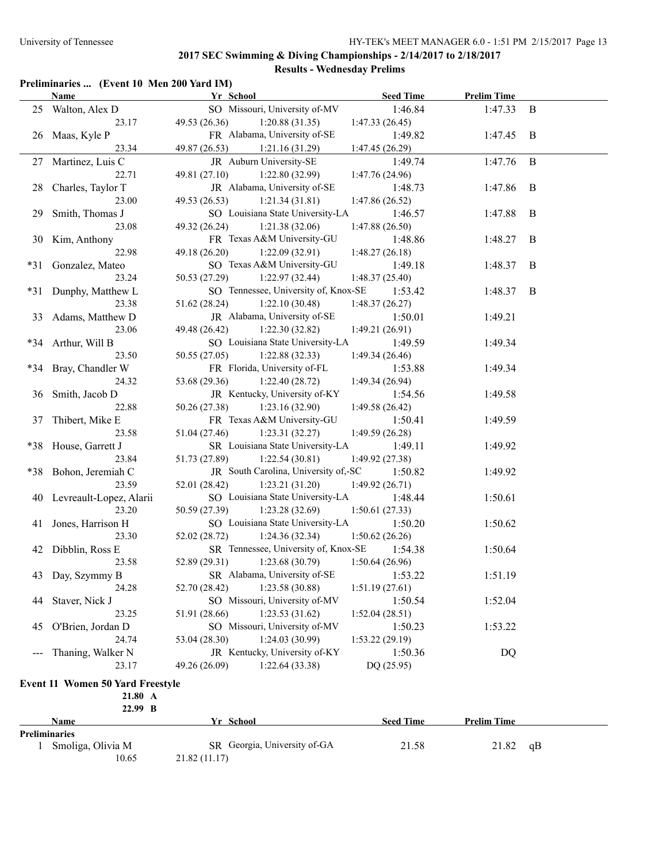# **Preliminaries ... (Event 10 Men 200 Yard IM)**

|                     | <b>Name</b>                             | Yr School                                                           | <b>Seed Time</b> | <b>Prelim Time</b> |                |
|---------------------|-----------------------------------------|---------------------------------------------------------------------|------------------|--------------------|----------------|
|                     | 25 Walton, Alex D                       | SO Missouri, University of-MV                                       | 1:46.84          | $1:47.33$ B        |                |
|                     | 23.17                                   | 49.53 (26.36)<br>1:20.88(31.35)                                     | 1:47.33(26.45)   |                    |                |
|                     | 26 Maas, Kyle P                         | FR Alabama, University of-SE                                        | 1:49.82          | $1:47.45$ B        |                |
|                     | 23.34                                   | 49.87 (26.53) 1:21.16 (31.29)                                       | 1:47.45 (26.29)  |                    |                |
|                     | 27 Martinez, Luis C                     | JR Auburn University-SE                                             | 1:49.74          | 1:47.76            | $\overline{B}$ |
|                     | 22.71                                   | 49.81 (27.10)<br>1:22.80(32.99)                                     | 1:47.76(24.96)   |                    |                |
|                     | 28 Charles, Taylor T                    | JR Alabama, University of-SE                                        | 1:48.73          | 1:47.86            | $\overline{B}$ |
|                     | 23.00                                   | 49.53 (26.53)<br>1:21.34(31.81)                                     | 1:47.86(26.52)   |                    |                |
|                     | 29 Smith, Thomas J                      | SO Louisiana State University-LA                                    | 1:46.57          | 1:47.88            | B              |
|                     | 23.08                                   | 49.32 (26.24)<br>1:21.38(32.06)                                     | 1:47.88(26.50)   |                    |                |
|                     | 30 Kim, Anthony                         | FR Texas A&M University-GU                                          | 1:48.86          | 1:48.27            | B              |
|                     | 22.98                                   | 49.18 (26.20)<br>1:22.09(32.91)                                     | 1:48.27(26.18)   |                    |                |
|                     | *31 Gonzalez, Mateo                     | SO Texas A&M University-GU                                          | 1:49.18          | 1:48.37            | $\overline{B}$ |
|                     | 23.24                                   | 50.53 (27.29)<br>1:22.97 (32.44)                                    | 1:48.37(25.40)   |                    |                |
|                     | *31 Dunphy, Matthew L                   | SO Tennessee, University of, Knox-SE                                | 1:53.42          | 1:48.37            | $\overline{B}$ |
|                     | 23.38                                   | 51.62 (28.24)<br>1:22.10(30.48)                                     | 1:48.37(26.27)   |                    |                |
|                     | 33 Adams, Matthew D                     | JR Alabama, University of-SE                                        | 1:50.01          | 1:49.21            |                |
|                     | 23.06                                   | 49.48 (26.42)<br>1:22.30(32.82)                                     | 1:49.21(26.91)   |                    |                |
|                     | *34 Arthur, Will B                      | SO Louisiana State University-LA                                    | 1:49.59          | 1:49.34            |                |
|                     | 23.50                                   | 50.55 (27.05)<br>1:22.88(32.33)                                     | 1:49.34(26.46)   |                    |                |
|                     | *34 Bray, Chandler W                    | FR Florida, University of-FL                                        | 1:53.88          | 1:49.34            |                |
|                     | 24.32                                   | 53.68 (29.36)<br>1:22.40(28.72)                                     | 1:49.34(26.94)   |                    |                |
|                     | 36 Smith, Jacob D                       | JR Kentucky, University of-KY                                       | 1:54.56          | 1:49.58            |                |
|                     | 22.88                                   | 50.26 (27.38)<br>1:23.16(32.90)                                     | 1:49.58(26.42)   |                    |                |
|                     | 37 Thibert, Mike E                      | FR Texas A&M University-GU                                          | 1:50.41          |                    |                |
|                     |                                         |                                                                     | 1:49.59 (26.28)  | 1:49.59            |                |
|                     | 23.58                                   | 51.04 (27.46)<br>1:23.31(32.27)<br>SR Louisiana State University-LA |                  |                    |                |
|                     | *38 House, Garrett J                    |                                                                     | 1:49.11          | 1:49.92            |                |
|                     | 23.84                                   | 51.73 (27.89)<br>1:22.54(30.81)                                     | 1:49.92 (27.38)  |                    |                |
|                     | *38 Bohon, Jeremiah C                   | JR South Carolina, University of,-SC                                | 1:50.82          | 1:49.92            |                |
|                     | 23.59                                   | 52.01 (28.42)<br>1:23.21(31.20)                                     | 1:49.92(26.71)   |                    |                |
|                     | 40 Levreault-Lopez, Alarii              | SO Louisiana State University-LA                                    | 1:48.44          | 1:50.61            |                |
|                     | 23.20                                   | 50.59 (27.39)<br>1:23.28(32.69)                                     | 1:50.61(27.33)   |                    |                |
|                     | 41 Jones, Harrison H                    | SO Louisiana State University-LA                                    | 1:50.20          | 1:50.62            |                |
|                     | 23.30                                   | 52.02(28.72)<br>1:24.36(32.34)                                      | 1:50.62(26.26)   |                    |                |
|                     | 42 Dibblin, Ross E                      | SR Tennessee, University of, Knox-SE                                | 1:54.38          | 1:50.64            |                |
|                     | 23.58                                   | 1:23.68(30.79)<br>52.89(29.31)                                      | 1:50.64(26.96)   |                    |                |
|                     | 43 Day, Szymmy B                        | SR Alabama, University of-SE                                        | 1:53.22          | 1:51.19            |                |
|                     | 24.28                                   | 52.70 (28.42)<br>1:23.58(30.88)                                     | 1:51.19(27.61)   |                    |                |
| 44                  | Staver, Nick J                          | SO Missouri, University of-MV                                       | 1:50.54          | 1:52.04            |                |
|                     | 23.25                                   | 51.91 (28.66)<br>1:23.53(31.62)                                     | 1:52.04(28.51)   |                    |                |
| 45                  | O'Brien, Jordan D                       | SO Missouri, University of-MV                                       | 1:50.23          | 1:53.22            |                |
|                     | 24.74                                   | 53.04 (28.30)<br>1:24.03(30.99)                                     | 1:53.22(29.19)   |                    |                |
| $\qquad \qquad - -$ | Thaning, Walker N                       | JR Kentucky, University of-KY                                       | 1:50.36          | DQ                 |                |
|                     | 23.17                                   | 49.26 (26.09)<br>1:22.64(33.38)                                     | DQ (25.95)       |                    |                |
|                     | <b>Event 11 Women 50 Yard Freestyle</b> |                                                                     |                  |                    |                |
|                     | 21.80 A                                 |                                                                     |                  |                    |                |
|                     | 22.99 B                                 |                                                                     |                  |                    |                |
|                     | Name                                    | Yr School                                                           | <b>Seed Time</b> | <b>Prelim Time</b> |                |
|                     | <b>Preliminaries</b>                    |                                                                     |                  |                    |                |
|                     | 1 Smoliga, Olivia M                     | SR Georgia, University of-GA                                        | 21.58            | 21.82              | qB             |
|                     | 10.65                                   | 21.82 (11.17)                                                       |                  |                    |                |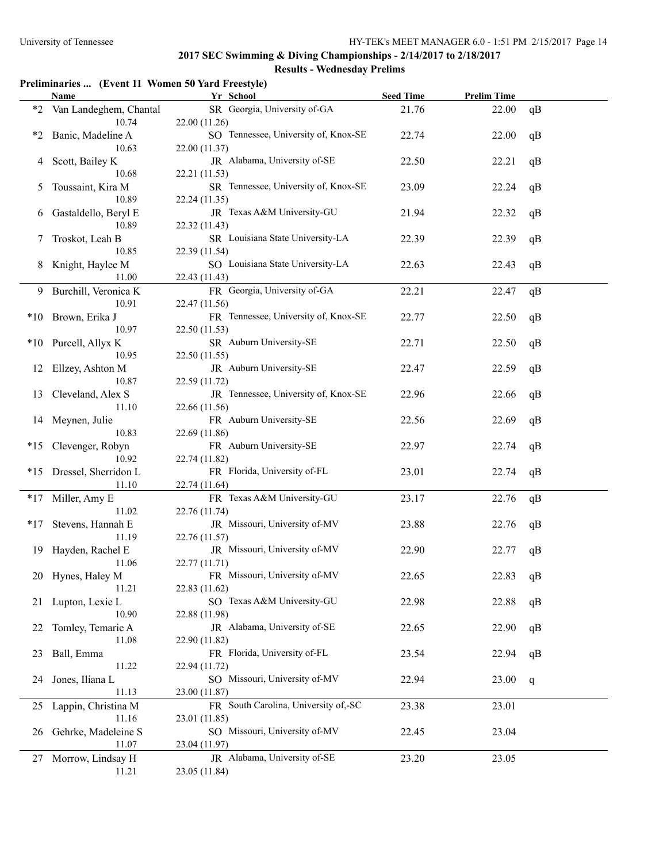# **Preliminaries ... (Event 11 Women 50 Yard Freestyle)**

|         | <b>Name</b>                     | Yr School                                             | <b>Seed Time</b> | <b>Prelim Time</b> |    |
|---------|---------------------------------|-------------------------------------------------------|------------------|--------------------|----|
| $*2$    | Van Landeghem, Chantal<br>10.74 | SR Georgia, University of-GA<br>22.00 (11.26)         | 21.76            | 22.00              | qB |
| $*_{2}$ | Banic, Madeline A<br>10.63      | SO Tennessee, University of, Knox-SE<br>22.00 (11.37) | 22.74            | 22.00              | qB |
| 4       | Scott, Bailey K                 | JR Alabama, University of-SE                          | 22.50            | 22.21              | qB |
| 5       | 10.68<br>Toussaint, Kira M      | 22.21 (11.53)<br>SR Tennessee, University of, Knox-SE | 23.09            | 22.24              | qB |
| 6       | 10.89<br>Gastaldello, Beryl E   | 22.24 (11.35)<br>JR Texas A&M University-GU           | 21.94            | 22.32              | qB |
|         | 10.89                           | 22.32 (11.43)                                         |                  |                    |    |
| 7       | Troskot, Leah B<br>10.85        | SR Louisiana State University-LA<br>22.39 (11.54)     | 22.39            | 22.39              | qB |
| 8       | Knight, Haylee M                | SO Louisiana State University-LA                      | 22.63            | 22.43              | qB |
|         | 11.00                           | 22.43 (11.43)                                         |                  |                    |    |
| 9.      | Burchill, Veronica K            | FR Georgia, University of-GA                          | 22.21            | 22.47              | qB |
|         | 10.91                           | 22.47 (11.56)<br>FR Tennessee, University of, Knox-SE |                  |                    |    |
|         | *10 Brown, Erika J<br>10.97     | 22.50 (11.53)                                         | 22.77            | 22.50              | qB |
|         | *10 Purcell, Allyx K            | SR Auburn University-SE                               | 22.71            | 22.50              | qB |
|         | 10.95                           | 22.50 (11.55)                                         |                  |                    |    |
| 12      | Ellzey, Ashton M                | JR Auburn University-SE                               | 22.47            | 22.59              | qB |
|         | 10.87                           | 22.59 (11.72)                                         |                  |                    |    |
| 13      | Cleveland, Alex S               | JR Tennessee, University of, Knox-SE                  | 22.96            | 22.66              | qB |
|         | 11.10                           | 22.66 (11.56)                                         |                  |                    |    |
| 14      | Meynen, Julie                   | FR Auburn University-SE                               | 22.56            | 22.69              | qB |
|         | 10.83                           | 22.69 (11.86)                                         |                  |                    |    |
| $*15$   | Clevenger, Robyn                | FR Auburn University-SE                               | 22.97            | 22.74              | qB |
| $*15$   | 10.92<br>Dressel, Sherridon L   | 22.74 (11.82)<br>FR Florida, University of-FL         | 23.01            | 22.74              | qB |
|         | 11.10                           | 22.74 (11.64)                                         |                  |                    |    |
| $*17$   | Miller, Amy E                   | FR Texas A&M University-GU                            | 23.17            | 22.76              | qB |
|         | 11.02                           | 22.76 (11.74)                                         |                  |                    |    |
| $*17$   | Stevens, Hannah E               | JR Missouri, University of-MV                         | 23.88            | 22.76              | qB |
|         | 11.19                           | 22.76 (11.57)                                         |                  |                    |    |
| 19      | Hayden, Rachel E                | JR Missouri, University of-MV                         | 22.90            | 22.77              | qB |
|         | 11.06                           | 22.77 (11.71)                                         |                  |                    |    |
|         | 20 Hynes, Haley M               | FR Missouri, University of-MV                         | 22.65            | 22.83              | qB |
|         | 11.21                           | 22.83 (11.62)<br>SO Texas A&M University-GU           | 22.98            | 22.88              |    |
|         | 21 Lupton, Lexie L<br>10.90     | 22.88 (11.98)                                         |                  |                    | qB |
| 22      | Tomley, Temarie A               | JR Alabama, University of-SE                          | 22.65            | 22.90              | qB |
|         | 11.08                           | 22.90 (11.82)                                         |                  |                    |    |
| 23      | Ball, Emma                      | FR Florida, University of-FL                          | 23.54            | 22.94              | qB |
|         | 11.22                           | 22.94 (11.72)                                         |                  |                    |    |
| 24      | Jones, Iliana L                 | SO Missouri, University of-MV                         | 22.94            | 23.00              | q  |
|         | 11.13                           | 23.00 (11.87)                                         |                  |                    |    |
| 25      | Lappin, Christina M             | FR South Carolina, University of,-SC                  | 23.38            | 23.01              |    |
|         | 11.16                           | 23.01 (11.85)                                         |                  |                    |    |
| 26      | Gehrke, Madeleine S             | SO Missouri, University of-MV                         | 22.45            | 23.04              |    |
|         | 11.07                           | 23.04 (11.97)                                         |                  |                    |    |
| 27      | Morrow, Lindsay H<br>11.21      | JR Alabama, University of-SE                          | 23.20            | 23.05              |    |
|         |                                 | 23.05 (11.84)                                         |                  |                    |    |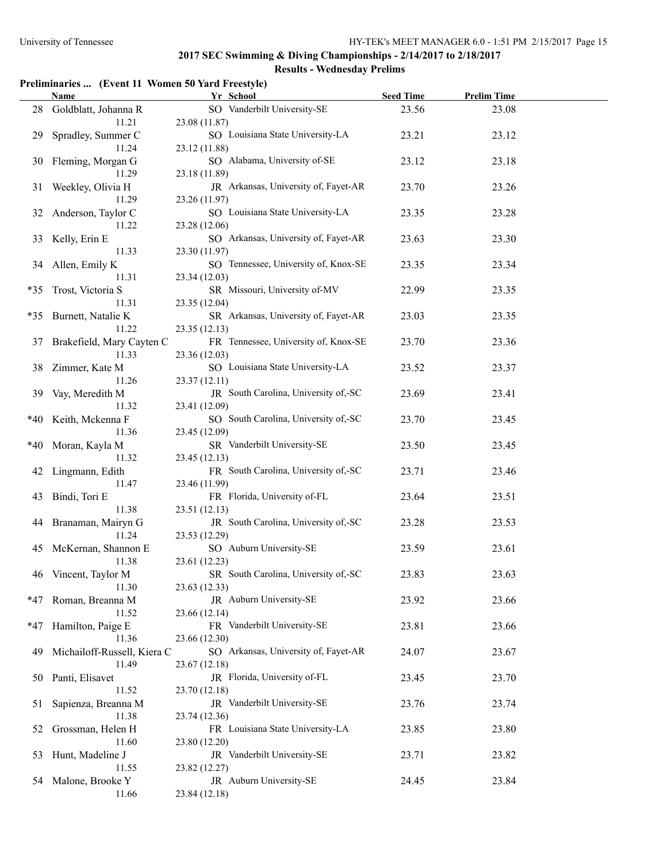# **Preliminaries ... (Event 11 Women 50 Yard Freestyle)**

|       | <b>Name</b>                          | Yr School                                             | <b>Seed Time</b> | <b>Prelim Time</b> |  |
|-------|--------------------------------------|-------------------------------------------------------|------------------|--------------------|--|
| 28    | Goldblatt, Johanna R<br>11.21        | SO Vanderbilt University-SE<br>23.08 (11.87)          | 23.56            | 23.08              |  |
| 29    | Spradley, Summer C<br>11.24          | SO Louisiana State University-LA<br>23.12 (11.88)     | 23.21            | 23.12              |  |
| 30    | Fleming, Morgan G<br>11.29           | SO Alabama, University of-SE<br>23.18 (11.89)         | 23.12            | 23.18              |  |
| 31    | Weekley, Olivia H<br>11.29           | JR Arkansas, University of, Fayet-AR<br>23.26 (11.97) | 23.70            | 23.26              |  |
| 32    | Anderson, Taylor C<br>11.22          | SO Louisiana State University-LA<br>23.28 (12.06)     | 23.35            | 23.28              |  |
| 33    | Kelly, Erin E<br>11.33               | SO Arkansas, University of, Fayet-AR<br>23.30 (11.97) | 23.63            | 23.30              |  |
| 34    | Allen, Emily K<br>11.31              | SO Tennessee, University of, Knox-SE<br>23.34 (12.03) | 23.35            | 23.34              |  |
| $*35$ | Trost, Victoria S<br>11.31           | SR Missouri, University of-MV<br>23.35 (12.04)        | 22.99            | 23.35              |  |
|       | *35 Burnett, Natalie K<br>11.22      | SR Arkansas, University of, Fayet-AR<br>23.35 (12.13) | 23.03            | 23.35              |  |
| 37    | Brakefield, Mary Cayten C<br>11.33   | FR Tennessee, University of, Knox-SE<br>23.36 (12.03) | 23.70            | 23.36              |  |
| 38    | Zimmer, Kate M<br>11.26              | SO Louisiana State University-LA<br>23.37(12.11)      | 23.52            | 23.37              |  |
| 39    | Vay, Meredith M<br>11.32             | JR South Carolina, University of,-SC<br>23.41 (12.09) | 23.69            | 23.41              |  |
| *40   | Keith, Mckenna F<br>11.36            | SO South Carolina, University of,-SC<br>23.45 (12.09) | 23.70            | 23.45              |  |
| $*40$ | Moran, Kayla M<br>11.32              | SR Vanderbilt University-SE<br>23.45 (12.13)          | 23.50            | 23.45              |  |
|       | 42 Lingmann, Edith<br>11.47          | FR South Carolina, University of,-SC<br>23.46 (11.99) | 23.71            | 23.46              |  |
| 43    | Bindi, Tori E<br>11.38               | FR Florida, University of-FL<br>23.51 (12.13)         | 23.64            | 23.51              |  |
| 44    | Branaman, Mairyn G<br>11.24          | JR South Carolina, University of,-SC<br>23.53 (12.29) | 23.28            | 23.53              |  |
| 45    | McKernan, Shannon E<br>11.38         | SO Auburn University-SE<br>23.61 (12.23)              | 23.59            | 23.61              |  |
|       | 46 Vincent, Taylor M<br>11.30        | SR South Carolina, University of,-SC<br>23.63 (12.33) | 23.83            | 23.63              |  |
| *47   | Roman, Breanna M<br>11.52            | JR Auburn University-SE<br>23.66 (12.14)              | 23.92            | 23.66              |  |
| *47   | Hamilton, Paige E<br>11.36           | FR Vanderbilt University-SE<br>23.66 (12.30)          | 23.81            | 23.66              |  |
| 49    | Michailoff-Russell, Kiera C<br>11.49 | SO Arkansas, University of, Fayet-AR<br>23.67 (12.18) | 24.07            | 23.67              |  |
| 50    | Panti, Elisavet<br>11.52             | JR Florida, University of-FL<br>23.70 (12.18)         | 23.45            | 23.70              |  |
| 51    | Sapienza, Breanna M<br>11.38         | JR Vanderbilt University-SE<br>23.74 (12.36)          | 23.76            | 23.74              |  |
| 52    | Grossman, Helen H<br>11.60           | FR Louisiana State University-LA<br>23.80 (12.20)     | 23.85            | 23.80              |  |
| 53    | Hunt, Madeline J<br>11.55            | JR Vanderbilt University-SE<br>23.82 (12.27)          | 23.71            | 23.82              |  |
| 54    | Malone, Brooke Y<br>11.66            | JR Auburn University-SE<br>23.84 (12.18)              | 24.45            | 23.84              |  |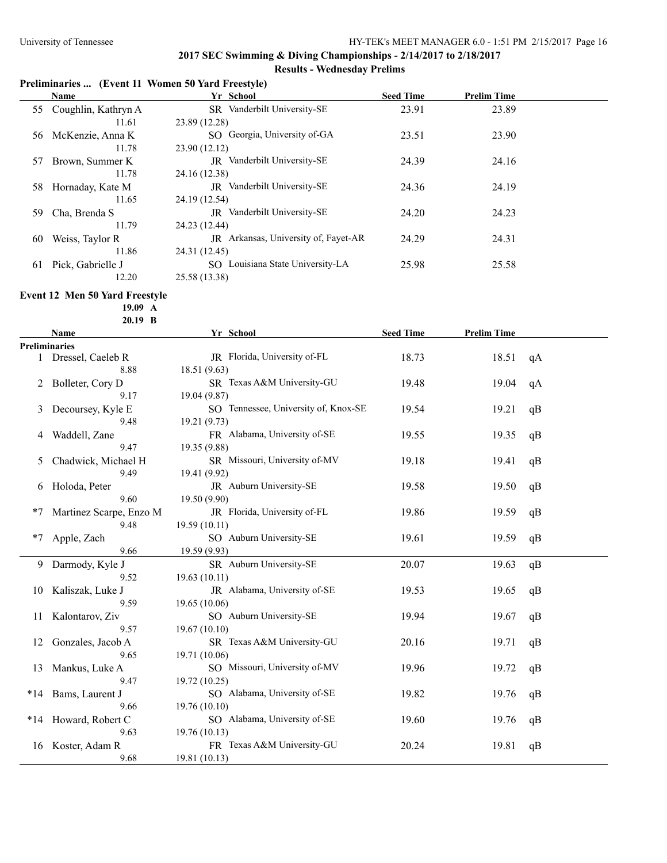# **Preliminaries ... (Event 11 Women 50 Yard Freestyle)**

|    | Name                   | Yr School                            | <b>Seed Time</b> | <b>Prelim Time</b> |  |
|----|------------------------|--------------------------------------|------------------|--------------------|--|
|    | 55 Coughlin, Kathryn A | SR Vanderbilt University-SE          | 23.91            | 23.89              |  |
|    | 11.61                  | 23.89 (12.28)                        |                  |                    |  |
| 56 | McKenzie, Anna K       | SO Georgia, University of-GA         | 23.51            | 23.90              |  |
|    | 11.78                  | 23.90 (12.12)                        |                  |                    |  |
| 57 | Brown, Summer K        | JR Vanderbilt University-SE          | 24.39            | 24.16              |  |
|    | 11.78                  | 24.16 (12.38)                        |                  |                    |  |
| 58 | Hornaday, Kate M       | <b>JR</b> Vanderbilt University-SE   | 24.36            | 24.19              |  |
|    | 11.65                  | 24.19 (12.54)                        |                  |                    |  |
| 59 | Cha, Brenda S          | <b>IR</b> Vanderbilt University-SE   | 24.20            | 24.23              |  |
|    | 11.79                  | 24.23 (12.44)                        |                  |                    |  |
| 60 | Weiss, Taylor R        | JR Arkansas, University of, Fayet-AR | 24.29            | 24.31              |  |
|    | 11.86                  | 24.31 (12.45)                        |                  |                    |  |
| 61 | Pick, Gabrielle J      | Louisiana State University-LA<br>SO. | 25.98            | 25.58              |  |
|    | 12.20                  | 25.58 (13.38)                        |                  |                    |  |

# **Event 12 Men 50 Yard Freestyle**

**19.09 A 20.19 B**

| Name                    | Yr School<br><b>Seed Time</b>        |       | <b>Prelim Time</b> |    |  |
|-------------------------|--------------------------------------|-------|--------------------|----|--|
| <b>Preliminaries</b>    |                                      |       |                    |    |  |
| 1 Dressel, Caeleb R     | JR Florida, University of-FL         | 18.73 | 18.51              | qA |  |
| 8.88                    | 18.51 (9.63)                         |       |                    |    |  |
| Bolleter, Cory D        | SR Texas A&M University-GU           | 19.48 | 19.04              | qA |  |
| 9.17                    | 19.04 (9.87)                         |       |                    |    |  |
| Decoursey, Kyle E       | SO Tennessee, University of, Knox-SE | 19.54 | 19.21              | qB |  |
| 9.48                    | 19.21 (9.73)                         |       |                    |    |  |
| Waddell, Zane           | FR Alabama, University of-SE         | 19.55 | 19.35              | qB |  |
| 9.47                    | 19.35 (9.88)                         |       |                    |    |  |
| Chadwick, Michael H     | SR Missouri, University of-MV        | 19.18 | 19.41              | qB |  |
| 9.49                    | 19.41 (9.92)                         |       |                    |    |  |
| Holoda, Peter           | JR Auburn University-SE              | 19.58 | 19.50              | qB |  |
| 9.60                    | 19.50 (9.90)                         |       |                    |    |  |
| Martinez Scarpe, Enzo M | JR Florida, University of-FL         | 19.86 | 19.59              | qB |  |
| 9.48                    | 19.59(10.11)                         |       |                    |    |  |
| Apple, Zach             | SO Auburn University-SE              | 19.61 | 19.59              | qB |  |
| 9.66                    | 19.59 (9.93)                         |       |                    |    |  |
| Darmody, Kyle J         | SR Auburn University-SE              | 20.07 | 19.63              | qB |  |
| 9.52                    | 19.63(10.11)                         |       |                    |    |  |
| Kaliszak, Luke J        | JR Alabama, University of-SE         | 19.53 | 19.65              | qB |  |
| 9.59                    | 19.65 (10.06)                        |       |                    |    |  |
| Kalontarov, Ziv         | SO Auburn University-SE              | 19.94 | 19.67              | qB |  |
| 9.57                    | 19.67 (10.10)                        |       |                    |    |  |
| Gonzales, Jacob A       | SR Texas A&M University-GU           | 20.16 | 19.71              | qB |  |
| 9.65                    | 19.71 (10.06)                        |       |                    |    |  |
| Mankus, Luke A          | SO Missouri, University of-MV        | 19.96 | 19.72              | qB |  |
| 9.47                    | 19.72 (10.25)                        |       |                    |    |  |
| Bams, Laurent J         | SO Alabama, University of-SE         | 19.82 | 19.76              | qB |  |
| 9.66                    | 19.76 (10.10)                        |       |                    |    |  |
| Howard, Robert C        | SO Alabama, University of-SE         | 19.60 | 19.76              | qB |  |
| 9.63                    | 19.76 (10.13)                        |       |                    |    |  |
| Koster, Adam R          | FR Texas A&M University-GU           | 20.24 | 19.81              | qB |  |
| 9.68                    | 19.81 (10.13)                        |       |                    |    |  |
|                         |                                      |       |                    |    |  |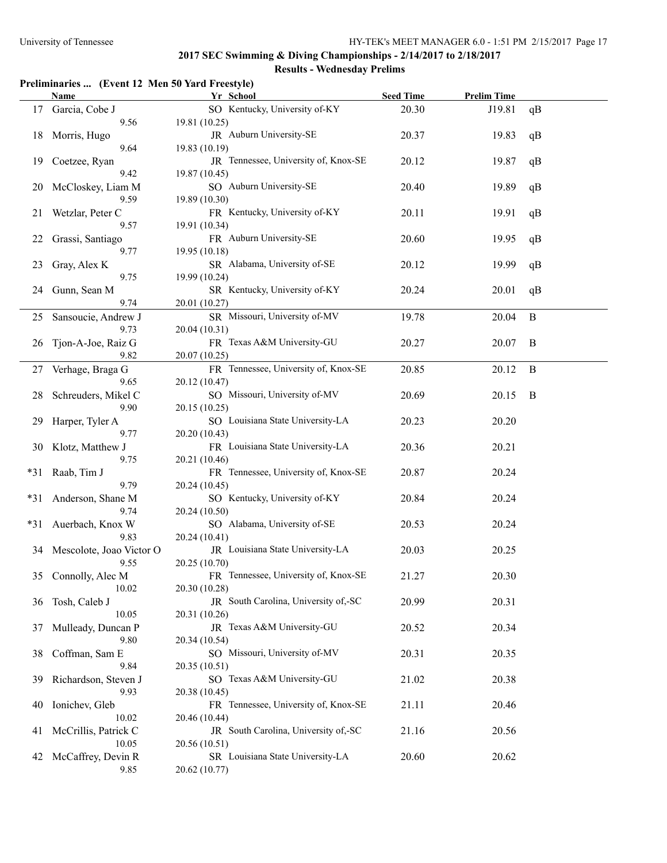### **Preliminaries ... (Event 12 Men 50 Yard Freestyle)**

|       | Name                               | Yr School                                                       | <b>Seed Time</b> | <b>Prelim Time</b> |          |
|-------|------------------------------------|-----------------------------------------------------------------|------------------|--------------------|----------|
| 17    | Garcia, Cobe J<br>9.56             | SO Kentucky, University of-KY<br>19.81 (10.25)                  | 20.30            | J19.81             | qB       |
| 18    | Morris, Hugo<br>9.64               | JR Auburn University-SE<br>19.83 (10.19)                        | 20.37            | 19.83              | qB       |
| 19    | Coetzee, Ryan                      | JR Tennessee, University of, Knox-SE                            | 20.12            | 19.87              | qB       |
| 20    | 9.42<br>McCloskey, Liam M          | 19.87 (10.45)<br>SO Auburn University-SE                        | 20.40            | 19.89              | qB       |
| 21    | 9.59<br>Wetzlar, Peter C           | 19.89 (10.30)<br>FR Kentucky, University of-KY                  | 20.11            | 19.91              | qB       |
| 22    | 9.57<br>Grassi, Santiago           | 19.91 (10.34)<br>FR Auburn University-SE                        | 20.60            | 19.95              | qB       |
| 23    | 9.77<br>Gray, Alex K               | 19.95 (10.18)<br>SR Alabama, University of-SE                   | 20.12            | 19.99              | qB       |
| 24    | 9.75<br>Gunn, Sean M               | 19.99 (10.24)<br>SR Kentucky, University of-KY                  | 20.24            | 20.01              | qB       |
| 25    | 9.74<br>Sansoucie, Andrew J        | 20.01 (10.27)<br>SR Missouri, University of-MV                  | 19.78            | 20.04              | $\bf{B}$ |
| 26    | 9.73<br>Tjon-A-Joe, Raiz G<br>9.82 | 20.04 (10.31)<br>FR Texas A&M University-GU                     | 20.27            | 20.07              | B        |
| 27    | Verhage, Braga G<br>9.65           | 20.07 (10.25)<br>FR Tennessee, University of, Knox-SE           | 20.85            | 20.12              | $\bf{B}$ |
| 28    | Schreuders, Mikel C<br>9.90        | 20.12 (10.47)<br>SO Missouri, University of-MV<br>20.15 (10.25) | 20.69            | 20.15              | B        |
| 29    | Harper, Tyler A<br>9.77            | SO Louisiana State University-LA<br>20.20 (10.43)               | 20.23            | 20.20              |          |
| 30    | Klotz, Matthew J<br>9.75           | FR Louisiana State University-LA<br>20.21 (10.46)               | 20.36            | 20.21              |          |
| $*31$ | Raab, Tim J<br>9.79                | FR Tennessee, University of, Knox-SE<br>20.24 (10.45)           | 20.87            | 20.24              |          |
| *31   | Anderson, Shane M<br>9.74          | SO Kentucky, University of-KY<br>20.24 (10.50)                  | 20.84            | 20.24              |          |
| $*31$ | Auerbach, Knox W<br>9.83           | SO Alabama, University of-SE<br>20.24 (10.41)                   | 20.53            | 20.24              |          |
| 34    | Mescolote, Joao Victor O<br>9.55   | JR Louisiana State University-LA<br>20.25 (10.70)               | 20.03            | 20.25              |          |
|       | 35 Connolly, Alec M<br>10.02       | FR Tennessee, University of, Knox-SE<br>20.30 (10.28)           | 21.27            | 20.30              |          |
| 36    | Tosh, Caleb J<br>10.05             | JR South Carolina, University of,-SC<br>20.31 (10.26)           | 20.99            | 20.31              |          |
| 37    | Mulleady, Duncan P<br>9.80         | JR Texas A&M University-GU<br>20.34 (10.54)                     | 20.52            | 20.34              |          |
| 38    | Coffman, Sam E<br>9.84             | SO Missouri, University of-MV<br>20.35 (10.51)                  | 20.31            | 20.35              |          |
| 39    | Richardson, Steven J<br>9.93       | SO Texas A&M University-GU<br>20.38 (10.45)                     | 21.02            | 20.38              |          |
| 40    | Ionichev, Gleb<br>10.02            | FR Tennessee, University of, Knox-SE<br>20.46 (10.44)           | 21.11            | 20.46              |          |
| 41    | McCrillis, Patrick C<br>10.05      | JR South Carolina, University of,-SC<br>20.56 (10.51)           | 21.16            | 20.56              |          |
| 42    | McCaffrey, Devin R<br>9.85         | SR Louisiana State University-LA<br>20.62 (10.77)               | 20.60            | 20.62              |          |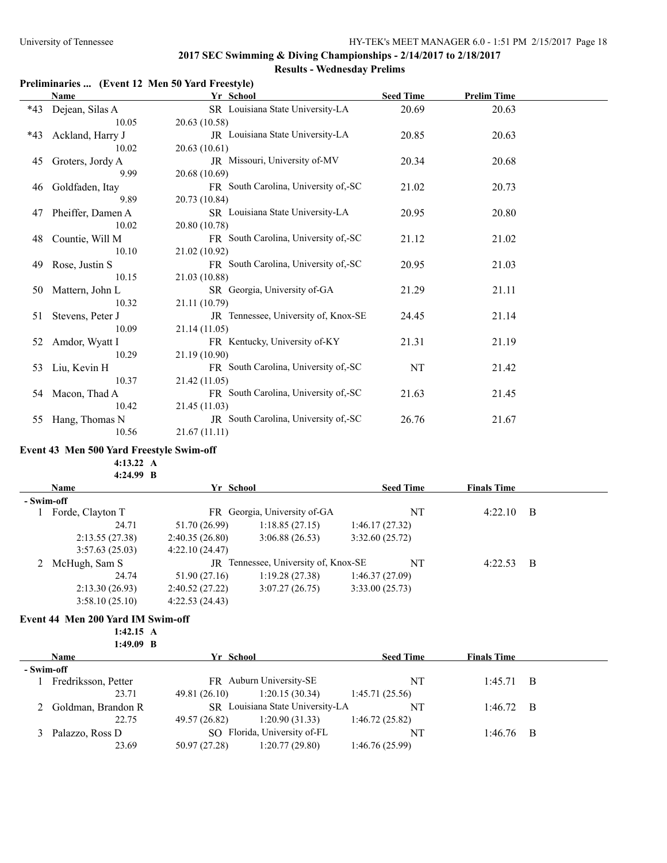#### **Preliminaries ... (Event 12 Men 50 Yard Freestyle)**

|       | Name              | Yr School                            | <b>Seed Time</b> | <b>Prelim Time</b> |  |
|-------|-------------------|--------------------------------------|------------------|--------------------|--|
| *43   | Dejean, Silas A   | SR Louisiana State University-LA     | 20.69            | 20.63              |  |
|       | 10.05             | 20.63 (10.58)                        |                  |                    |  |
| $*43$ | Ackland, Harry J  | JR Louisiana State University-LA     | 20.85            | 20.63              |  |
|       | 10.02             | 20.63 (10.61)                        |                  |                    |  |
| 45    | Groters, Jordy A  | JR Missouri, University of-MV        | 20.34            | 20.68              |  |
|       | 9.99              | 20.68 (10.69)                        |                  |                    |  |
| 46    | Goldfaden, Itay   | FR South Carolina, University of,-SC | 21.02            | 20.73              |  |
|       | 9.89              | 20.73 (10.84)                        |                  |                    |  |
| 47    | Pheiffer, Damen A | SR Louisiana State University-LA     | 20.95            | 20.80              |  |
|       | 10.02             | 20.80 (10.78)                        |                  |                    |  |
| 48    | Countie, Will M   | FR South Carolina, University of,-SC | 21.12            | 21.02              |  |
|       | 10.10             | 21.02 (10.92)                        |                  |                    |  |
| 49    | Rose, Justin S    | FR South Carolina, University of,-SC | 20.95            | 21.03              |  |
|       | 10.15             | 21.03 (10.88)                        |                  |                    |  |
| 50    | Mattern, John L   | SR Georgia, University of-GA         | 21.29            | 21.11              |  |
|       | 10.32             | 21.11 (10.79)                        |                  |                    |  |
| 51    | Stevens, Peter J  | JR Tennessee, University of, Knox-SE | 24.45            | 21.14              |  |
|       | 10.09             | 21.14(11.05)                         |                  |                    |  |
| 52    | Amdor, Wyatt I    | FR Kentucky, University of-KY        | 21.31            | 21.19              |  |
|       | 10.29             | 21.19 (10.90)                        |                  |                    |  |
| 53    | Liu, Kevin H      | FR South Carolina, University of,-SC | NT               | 21.42              |  |
|       | 10.37             | 21.42 (11.05)                        |                  |                    |  |
| 54    | Macon, Thad A     | FR South Carolina, University of,-SC | 21.63            | 21.45              |  |
|       | 10.42             | 21.45 (11.03)                        |                  |                    |  |
| 55    | Hang, Thomas N    | JR South Carolina, University of SC  | 26.76            | 21.67              |  |
|       | 10.56             | 21.67(11.11)                         |                  |                    |  |

#### **Event 43 Men 500 Yard Freestyle Swim-off**

**4:13.22 A**

**4:24.99 B**

| <b>Name</b> |                  | Yr School      |                                      |                | <b>Seed Time</b> | <b>Finals Time</b> |     |  |
|-------------|------------------|----------------|--------------------------------------|----------------|------------------|--------------------|-----|--|
|             | - Swim-off       |                |                                      |                |                  |                    |     |  |
|             | Forde, Clayton T |                | FR Georgia, University of-GA         |                | NT               | $4:22.10$ B        |     |  |
|             | 24.71            | 51.70 (26.99)  | 1:18.85(27.15)                       | 1:46.17(27.32) |                  |                    |     |  |
|             | 2:13.55(27.38)   | 2:40.35(26.80) | 3:06.88(26.53)                       | 3:32.60(25.72) |                  |                    |     |  |
|             | 3:57.63(25.03)   | 4:22.10(24.47) |                                      |                |                  |                    |     |  |
|             | McHugh, Sam S    |                | JR Tennessee, University of, Knox-SE |                | NT               | 4:22.53            | - B |  |
|             | 24.74            | 51.90 (27.16)  | 1:19.28(27.38)                       | 1:46.37(27.09) |                  |                    |     |  |
|             | 2:13.30(26.93)   | 2:40.52(27.22) | 3:07.27(26.75)                       | 3:33.00(25.73) |                  |                    |     |  |
|             | 3:58.10(25.10)   | 4:22.53(24.43) |                                      |                |                  |                    |     |  |

#### **Event 44 Men 200 Yard IM Swim-off**

**1:42.15 A 1:49.09 B**

|            | <b>Name</b>          | Yr School     |                                  | <b>Seed Time</b> | <b>Finals Time</b> |     |
|------------|----------------------|---------------|----------------------------------|------------------|--------------------|-----|
| - Swim-off |                      |               |                                  |                  |                    |     |
|            | Fredriksson, Petter  |               | FR Auburn University-SE          | NT               | 1:45.71            | - B |
|            | 23.71                | 49.81 (26.10) | 1:20.15(30.34)                   | 1:45.71(25.56)   |                    |     |
|            | 2 Goldman, Brandon R |               | SR Louisiana State University-LA | NT               | $1:46.72$ B        |     |
|            | 22.75                | 49.57 (26.82) | 1:20.90(31.33)                   | 1:46.72(25.82)   |                    |     |
|            | Palazzo, Ross D      |               | SO Florida, University of-FL     | NT               | $1:46.76$ B        |     |
|            | 23.69                | 50.97 (27.28) | 1:20.77(29.80)                   | 1:46.76(25.99)   |                    |     |
|            |                      |               |                                  |                  |                    |     |